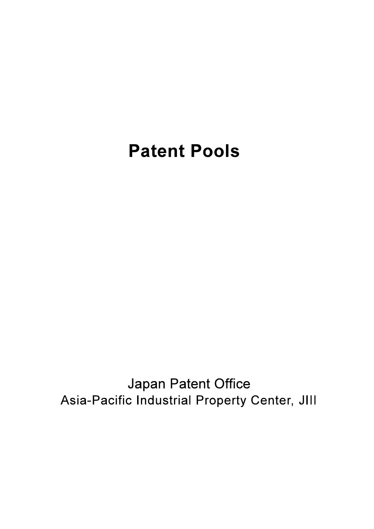## **Patent Pools**

Japan Patent Office Asia-Pacific Industrial Property Center, JIII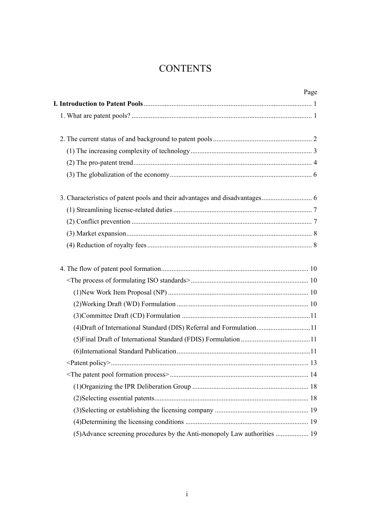### **CONTENTS**

|                                                                           | Page |
|---------------------------------------------------------------------------|------|
|                                                                           |      |
|                                                                           |      |
|                                                                           |      |
|                                                                           |      |
|                                                                           |      |
|                                                                           |      |
|                                                                           |      |
|                                                                           |      |
|                                                                           |      |
|                                                                           |      |
|                                                                           |      |
|                                                                           |      |
|                                                                           |      |
|                                                                           |      |
|                                                                           |      |
|                                                                           |      |
|                                                                           |      |
| (4) Draft of International Standard (DIS) Referral and Formulation11      |      |
|                                                                           |      |
|                                                                           |      |
|                                                                           |      |
|                                                                           |      |
|                                                                           |      |
|                                                                           |      |
|                                                                           |      |
|                                                                           |      |
| (5) Advance screening procedures by the Anti-monopoly Law authorities  19 |      |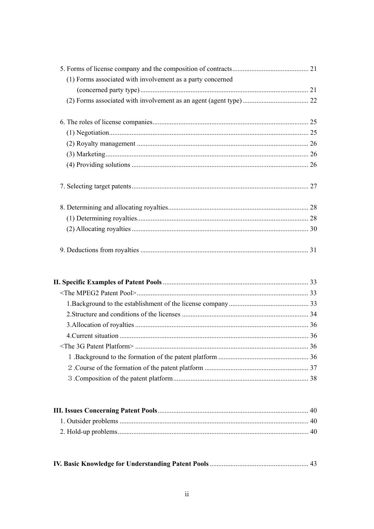| (1) Forms associated with involvement as a party concerned |  |  |
|------------------------------------------------------------|--|--|
|                                                            |  |  |
|                                                            |  |  |
|                                                            |  |  |
|                                                            |  |  |
|                                                            |  |  |
|                                                            |  |  |
|                                                            |  |  |
|                                                            |  |  |
|                                                            |  |  |
|                                                            |  |  |
|                                                            |  |  |
|                                                            |  |  |

|--|--|--|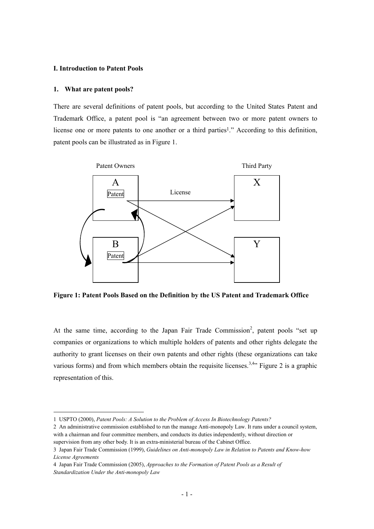#### **I. Introduction to Patent Pools**

#### **1. What are patent pools?**

-

There are several definitions of patent pools, but according to the United States Patent and Trademark Office, a patent pool is "an agreement between two or more patent owners to license one or more patents to one another or a third parties<sup>1</sup>." According to this definition, patent pools can be illustrated as in Figure 1.



**Figure 1: Patent Pools Based on the Definition by the US Patent and Trademark Office** 

At the same time, according to the Japan Fair Trade Commission<sup>2</sup>, patent pools "set up companies or organizations to which multiple holders of patents and other rights delegate the authority to grant licenses on their own patents and other rights (these organizations can take various forms) and from which members obtain the requisite licenses.<sup>3,4</sup> Figure 2 is a graphic representation of this.

supervision from any other body. It is an extra-ministerial bureau of the Cabinet Office.

<sup>1</sup> USPTO (2000), *Patent Pools: A Solution to the Problem of Access In Biotechnology Patents?*

<sup>2</sup> An administrative commission established to run the manage Anti-monopoly Law. It runs under a council system, with a chairman and four committee members, and conducts its duties independently, without direction or

<sup>3</sup> Japan Fair Trade Commission (1999), *Guidelines on Anti-monopoly Law in Relation to Patents and Know-how License Agreements*

<sup>4</sup> Japan Fair Trade Commission (2005), *Approaches to the Formation of Patent Pools as a Result of Standardization Under the Anti-monopoly Law*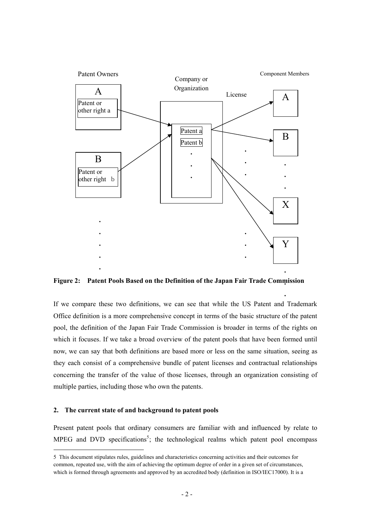

**Figure 2: Patent Pools Based on the Definition of the Japan Fair Trade Commission**  ・

 $\ddot{\phantom{0}}$ 

If we compare these two definitions, we can see that while the US Patent and Trademark Office definition is a more comprehensive concept in terms of the basic structure of the patent pool, the definition of the Japan Fair Trade Commission is broader in terms of the rights on which it focuses. If we take a broad overview of the patent pools that have been formed until now, we can say that both definitions are based more or less on the same situation, seeing as they each consist of a comprehensive bundle of patent licenses and contractual relationships concerning the transfer of the value of those licenses, through an organization consisting of multiple parties, including those who own the patents.

#### **2. The current state of and background to patent pools**

-

Present patent pools that ordinary consumers are familiar with and influenced by relate to MPEG and DVD specifications<sup>5</sup>; the technological realms which patent pool encompass

<sup>5</sup> This document stipulates rules, guidelines and characteristics concerning activities and their outcomes for common, repeated use, with the aim of achieving the optimum degree of order in a given set of circumstances, which is formed through agreements and approved by an accredited body (definition in ISO/IEC17000). It is a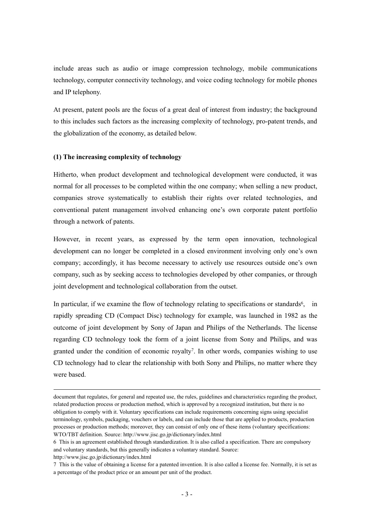include areas such as audio or image compression technology, mobile communications technology, computer connectivity technology, and voice coding technology for mobile phones and IP telephony.

At present, patent pools are the focus of a great deal of interest from industry; the background to this includes such factors as the increasing complexity of technology, pro-patent trends, and the globalization of the economy, as detailed below.

#### **(1) The increasing complexity of technology**

-

Hitherto, when product development and technological development were conducted, it was normal for all processes to be completed within the one company; when selling a new product, companies strove systematically to establish their rights over related technologies, and conventional patent management involved enhancing one's own corporate patent portfolio through a network of patents.

However, in recent years, as expressed by the term open innovation, technological development can no longer be completed in a closed environment involving only one's own company; accordingly, it has become necessary to actively use resources outside one's own company, such as by seeking access to technologies developed by other companies, or through joint development and technological collaboration from the outset.

In particular, if we examine the flow of technology relating to specifications or standards $6$ , in rapidly spreading CD (Compact Disc) technology for example, was launched in 1982 as the outcome of joint development by Sony of Japan and Philips of the Netherlands. The license regarding CD technology took the form of a joint license from Sony and Philips, and was granted under the condition of economic royalty7. In other words, companies wishing to use CD technology had to clear the relationship with both Sony and Philips, no matter where they were based.

document that regulates, for general and repeated use, the rules, guidelines and characteristics regarding the product, related production process or production method, which is approved by a recognized institution, but there is no obligation to comply with it. Voluntary specifications can include requirements concerning signs using specialist terminology, symbols, packaging, vouchers or labels, and can include those that are applied to products, production processes or production methods; moreover, they can consist of only one of these items (voluntary specifications: WTO/TBT definition. Source: http://www.jisc.go.jp/dictionary/index.html

<sup>6</sup> This is an agreement established through standardization. It is also called a specification. There are compulsory and voluntary standards, but this generally indicates a voluntary standard. Source: http://www.jisc.go.jp/dictionary/index.html

<sup>7</sup> This is the value of obtaining a license for a patented invention. It is also called a license fee. Normally, it is set as a percentage of the product price or an amount per unit of the product.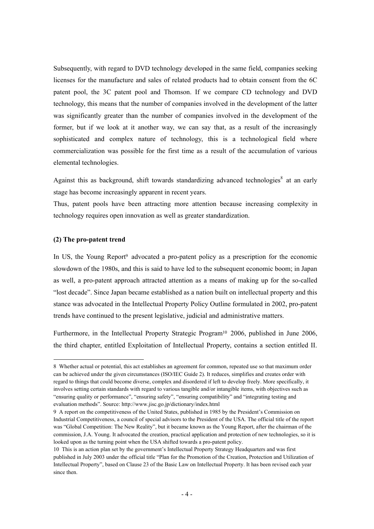Subsequently, with regard to DVD technology developed in the same field, companies seeking licenses for the manufacture and sales of related products had to obtain consent from the 6C patent pool, the 3C patent pool and Thomson. If we compare CD technology and DVD technology, this means that the number of companies involved in the development of the latter was significantly greater than the number of companies involved in the development of the former, but if we look at it another way, we can say that, as a result of the increasingly sophisticated and complex nature of technology, this is a technological field where commercialization was possible for the first time as a result of the accumulation of various elemental technologies.

Against this as background, shift towards standardizing advanced technologies<sup>8</sup> at an early stage has become increasingly apparent in recent years.

Thus, patent pools have been attracting more attention because increasing complexity in technology requires open innovation as well as greater standardization.

#### **(2) The pro-patent trend**

-

In US, the Young Report<sup>9</sup> advocated a pro-patent policy as a prescription for the economic slowdown of the 1980s, and this is said to have led to the subsequent economic boom; in Japan as well, a pro-patent approach attracted attention as a means of making up for the so-called "lost decade". Since Japan became established as a nation built on intellectual property and this stance was advocated in the Intellectual Property Policy Outline formulated in 2002, pro-patent trends have continued to the present legislative, judicial and administrative matters.

Furthermore, in the Intellectual Property Strategic Program<sup>10</sup> 2006, published in June 2006, the third chapter, entitled Exploitation of Intellectual Property, contains a section entitled II.

<sup>8</sup> Whether actual or potential, this act establishes an agreement for common, repeated use so that maximum order can be achieved under the given circumstances (ISO/IEC Guide 2). It reduces, simplifies and creates order with regard to things that could become diverse, complex and disordered if left to develop freely. More specifically, it involves setting certain standards with regard to various tangible and/or intangible items, with objectives such as "ensuring quality or performance", "ensuring safety", "ensuring compatibility" and "integrating testing and evaluation methods". Source: http://www.jisc.go.jp/dictionary/index.html

<sup>9</sup> A report on the competitiveness of the United States, published in 1985 by the President's Commission on Industrial Competitiveness, a council of special advisors to the President of the USA. The official title of the report was "Global Competition: The New Reality", but it became known as the Young Report, after the chairman of the commission, J.A. Young. It advocated the creation, practical application and protection of new technologies, so it is looked upon as the turning point when the USA shifted towards a pro-patent policy.

<sup>10</sup> This is an action plan set by the government's Intellectual Property Strategy Headquarters and was first published in July 2003 under the official title "Plan for the Promotion of the Creation, Protection and Utilization of Intellectual Property", based on Clause 23 of the Basic Law on Intellectual Property. It has been revised each year since then.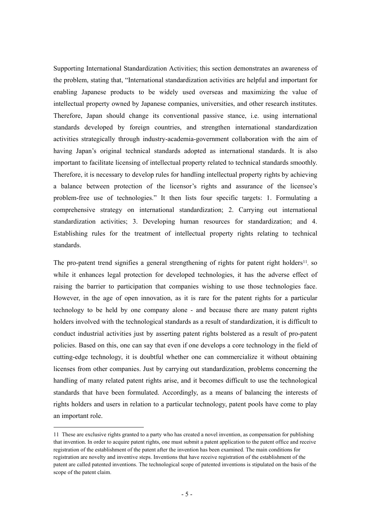Supporting International Standardization Activities; this section demonstrates an awareness of the problem, stating that, "International standardization activities are helpful and important for enabling Japanese products to be widely used overseas and maximizing the value of intellectual property owned by Japanese companies, universities, and other research institutes. Therefore, Japan should change its conventional passive stance, i.e. using international standards developed by foreign countries, and strengthen international standardization activities strategically through industry-academia-government collaboration with the aim of having Japan's original technical standards adopted as international standards. It is also important to facilitate licensing of intellectual property related to technical standards smoothly. Therefore, it is necessary to develop rules for handling intellectual property rights by achieving a balance between protection of the licensor's rights and assurance of the licensee's problem-free use of technologies." It then lists four specific targets: 1. Formulating a comprehensive strategy on international standardization; 2. Carrying out international standardization activities; 3. Developing human resources for standardization; and 4. Establishing rules for the treatment of intellectual property rights relating to technical standards.

The pro-patent trend signifies a general strengthening of rights for patent right holders<sup>11</sup>, so while it enhances legal protection for developed technologies, it has the adverse effect of raising the barrier to participation that companies wishing to use those technologies face. However, in the age of open innovation, as it is rare for the patent rights for a particular technology to be held by one company alone - and because there are many patent rights holders involved with the technological standards as a result of standardization, it is difficult to conduct industrial activities just by asserting patent rights bolstered as a result of pro-patent policies. Based on this, one can say that even if one develops a core technology in the field of cutting-edge technology, it is doubtful whether one can commercialize it without obtaining licenses from other companies. Just by carrying out standardization, problems concerning the handling of many related patent rights arise, and it becomes difficult to use the technological standards that have been formulated. Accordingly, as a means of balancing the interests of rights holders and users in relation to a particular technology, patent pools have come to play an important role.

-

<sup>11</sup> These are exclusive rights granted to a party who has created a novel invention, as compensation for publishing that invention. In order to acquire patent rights, one must submit a patent application to the patent office and receive registration of the establishment of the patent after the invention has been examined. The main conditions for registration are novelty and inventive steps. Inventions that have receive registration of the establishment of the patent are called patented inventions. The technological scope of patented inventions is stipulated on the basis of the scope of the patent claim.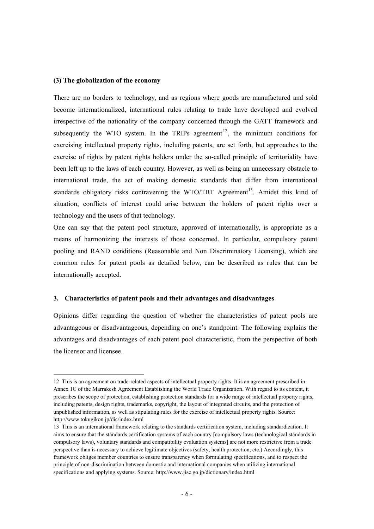#### **(3) The globalization of the economy**

-

There are no borders to technology, and as regions where goods are manufactured and sold become internationalized, international rules relating to trade have developed and evolved irrespective of the nationality of the company concerned through the GATT framework and subsequently the WTO system. In the TRIPs agreement<sup>12</sup>, the minimum conditions for exercising intellectual property rights, including patents, are set forth, but approaches to the exercise of rights by patent rights holders under the so-called principle of territoriality have been left up to the laws of each country. However, as well as being an unnecessary obstacle to international trade, the act of making domestic standards that differ from international standards obligatory risks contravening the WTO/TBT Agreement<sup>13</sup>. Amidst this kind of situation, conflicts of interest could arise between the holders of patent rights over a technology and the users of that technology.

One can say that the patent pool structure, approved of internationally, is appropriate as a means of harmonizing the interests of those concerned. In particular, compulsory patent pooling and RAND conditions (Reasonable and Non Discriminatory Licensing), which are common rules for patent pools as detailed below, can be described as rules that can be internationally accepted.

#### **3. Characteristics of patent pools and their advantages and disadvantages**

Opinions differ regarding the question of whether the characteristics of patent pools are advantageous or disadvantageous, depending on one's standpoint. The following explains the advantages and disadvantages of each patent pool characteristic, from the perspective of both the licensor and licensee.

<sup>12</sup> This is an agreement on trade-related aspects of intellectual property rights. It is an agreement prescribed in Annex 1C of the Marrakesh Agreement Establishing the World Trade Organization. With regard to its content, it prescribes the scope of protection, establishing protection standards for a wide range of intellectual property rights, including patents, design rights, trademarks, copyright, the layout of integrated circuits, and the protection of unpublished information, as well as stipulating rules for the exercise of intellectual property rights. Source: http://www.tokugikon.jp/dic/index.html

<sup>13</sup> This is an international framework relating to the standards certification system, including standardization. It aims to ensure that the standards certification systems of each country [compulsory laws (technological standards in compulsory laws), voluntary standards and compatibility evaluation systems] are not more restrictive from a trade perspective than is necessary to achieve legitimate objectives (safety, health protection, etc.) Accordingly, this framework obliges member countries to ensure transparency when formulating specifications, and to respect the principle of non-discrimination between domestic and international companies when utilizing international specifications and applying systems. Source: http://www.jisc.go.jp/dictionary/index.html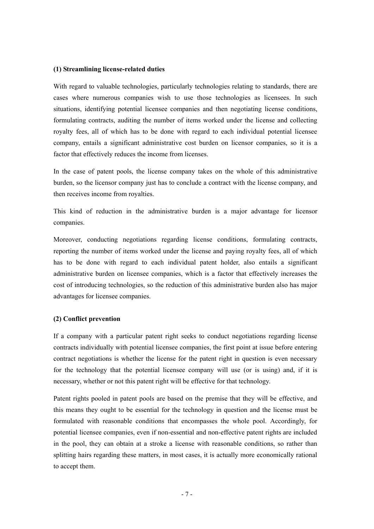#### **(1) Streamlining license-related duties**

With regard to valuable technologies, particularly technologies relating to standards, there are cases where numerous companies wish to use those technologies as licensees. In such situations, identifying potential licensee companies and then negotiating license conditions, formulating contracts, auditing the number of items worked under the license and collecting royalty fees, all of which has to be done with regard to each individual potential licensee company, entails a significant administrative cost burden on licensor companies, so it is a factor that effectively reduces the income from licenses.

In the case of patent pools, the license company takes on the whole of this administrative burden, so the licensor company just has to conclude a contract with the license company, and then receives income from royalties.

This kind of reduction in the administrative burden is a major advantage for licensor companies.

Moreover, conducting negotiations regarding license conditions, formulating contracts, reporting the number of items worked under the license and paying royalty fees, all of which has to be done with regard to each individual patent holder, also entails a significant administrative burden on licensee companies, which is a factor that effectively increases the cost of introducing technologies, so the reduction of this administrative burden also has major advantages for licensee companies.

#### **(2) Conflict prevention**

If a company with a particular patent right seeks to conduct negotiations regarding license contracts individually with potential licensee companies, the first point at issue before entering contract negotiations is whether the license for the patent right in question is even necessary for the technology that the potential licensee company will use (or is using) and, if it is necessary, whether or not this patent right will be effective for that technology.

Patent rights pooled in patent pools are based on the premise that they will be effective, and this means they ought to be essential for the technology in question and the license must be formulated with reasonable conditions that encompasses the whole pool. Accordingly, for potential licensee companies, even if non-essential and non-effective patent rights are included in the pool, they can obtain at a stroke a license with reasonable conditions, so rather than splitting hairs regarding these matters, in most cases, it is actually more economically rational to accept them.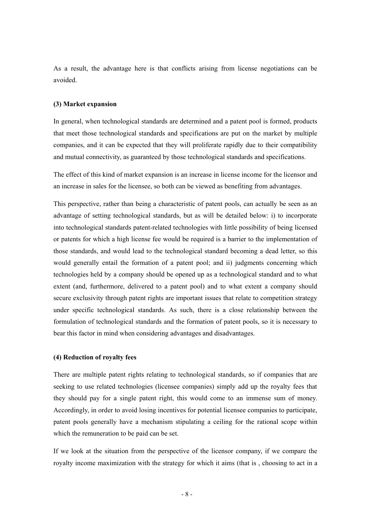As a result, the advantage here is that conflicts arising from license negotiations can be avoided.

#### **(3) Market expansion**

In general, when technological standards are determined and a patent pool is formed, products that meet those technological standards and specifications are put on the market by multiple companies, and it can be expected that they will proliferate rapidly due to their compatibility and mutual connectivity, as guaranteed by those technological standards and specifications.

The effect of this kind of market expansion is an increase in license income for the licensor and an increase in sales for the licensee, so both can be viewed as benefiting from advantages.

This perspective, rather than being a characteristic of patent pools, can actually be seen as an advantage of setting technological standards, but as will be detailed below: i) to incorporate into technological standards patent-related technologies with little possibility of being licensed or patents for which a high license fee would be required is a barrier to the implementation of those standards, and would lead to the technological standard becoming a dead letter, so this would generally entail the formation of a patent pool; and ii) judgments concerning which technologies held by a company should be opened up as a technological standard and to what extent (and, furthermore, delivered to a patent pool) and to what extent a company should secure exclusivity through patent rights are important issues that relate to competition strategy under specific technological standards. As such, there is a close relationship between the formulation of technological standards and the formation of patent pools, so it is necessary to bear this factor in mind when considering advantages and disadvantages.

#### **(4) Reduction of royalty fees**

There are multiple patent rights relating to technological standards, so if companies that are seeking to use related technologies (licensee companies) simply add up the royalty fees that they should pay for a single patent right, this would come to an immense sum of money. Accordingly, in order to avoid losing incentives for potential licensee companies to participate, patent pools generally have a mechanism stipulating a ceiling for the rational scope within which the remuneration to be paid can be set.

If we look at the situation from the perspective of the licensor company, if we compare the royalty income maximization with the strategy for which it aims (that is, choosing to act in a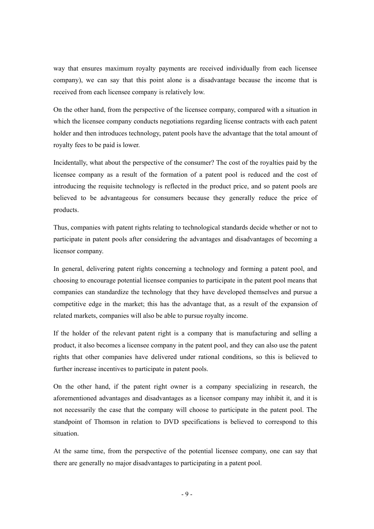way that ensures maximum royalty payments are received individually from each licensee company), we can say that this point alone is a disadvantage because the income that is received from each licensee company is relatively low.

On the other hand, from the perspective of the licensee company, compared with a situation in which the licensee company conducts negotiations regarding license contracts with each patent holder and then introduces technology, patent pools have the advantage that the total amount of royalty fees to be paid is lower.

Incidentally, what about the perspective of the consumer? The cost of the royalties paid by the licensee company as a result of the formation of a patent pool is reduced and the cost of introducing the requisite technology is reflected in the product price, and so patent pools are believed to be advantageous for consumers because they generally reduce the price of products.

Thus, companies with patent rights relating to technological standards decide whether or not to participate in patent pools after considering the advantages and disadvantages of becoming a licensor company.

In general, delivering patent rights concerning a technology and forming a patent pool, and choosing to encourage potential licensee companies to participate in the patent pool means that companies can standardize the technology that they have developed themselves and pursue a competitive edge in the market; this has the advantage that, as a result of the expansion of related markets, companies will also be able to pursue royalty income.

If the holder of the relevant patent right is a company that is manufacturing and selling a product, it also becomes a licensee company in the patent pool, and they can also use the patent rights that other companies have delivered under rational conditions, so this is believed to further increase incentives to participate in patent pools.

On the other hand, if the patent right owner is a company specializing in research, the aforementioned advantages and disadvantages as a licensor company may inhibit it, and it is not necessarily the case that the company will choose to participate in the patent pool. The standpoint of Thomson in relation to DVD specifications is believed to correspond to this situation.

At the same time, from the perspective of the potential licensee company, one can say that there are generally no major disadvantages to participating in a patent pool.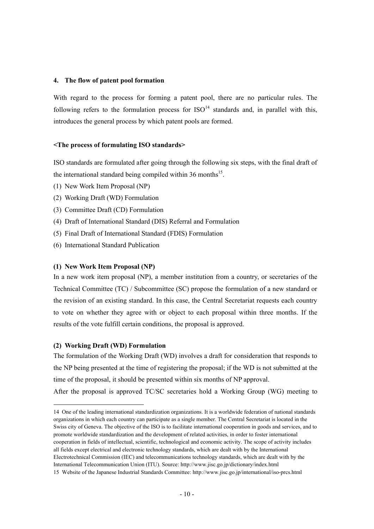#### **4. The flow of patent pool formation**

With regard to the process for forming a patent pool, there are no particular rules. The following refers to the formulation process for  $ISO<sup>14</sup>$  standards and, in parallel with this, introduces the general process by which patent pools are formed.

#### **<The process of formulating ISO standards>**

ISO standards are formulated after going through the following six steps, with the final draft of the international standard being compiled within  $36$  months<sup>15</sup>.

- (1) New Work Item Proposal (NP)
- (2) Working Draft (WD) Formulation
- (3) Committee Draft (CD) Formulation
- (4) Draft of International Standard (DIS) Referral and Formulation
- (5) Final Draft of International Standard (FDIS) Formulation
- (6) International Standard Publication

#### **(1) New Work Item Proposal (NP)**

In a new work item proposal (NP), a member institution from a country, or secretaries of the Technical Committee (TC) / Subcommittee (SC) propose the formulation of a new standard or the revision of an existing standard. In this case, the Central Secretariat requests each country to vote on whether they agree with or object to each proposal within three months. If the results of the vote fulfill certain conditions, the proposal is approved.

#### **(2) Working Draft (WD) Formulation**

-

The formulation of the Working Draft (WD) involves a draft for consideration that responds to the NP being presented at the time of registering the proposal; if the WD is not submitted at the time of the proposal, it should be presented within six months of NP approval.

After the proposal is approved TC/SC secretaries hold a Working Group (WG) meeting to

<sup>14</sup> One of the leading international standardization organizations. It is a worldwide federation of national standards organizations in which each country can participate as a single member. The Central Secretariat is located in the Swiss city of Geneva. The objective of the ISO is to facilitate international cooperation in goods and services, and to promote worldwide standardization and the development of related activities, in order to foster international cooperation in fields of intellectual, scientific, technological and economic activity. The scope of activity includes all fields except electrical and electronic technology standards, which are dealt with by the International Electrotechnical Commission (IEC) and telecommunications technology standards, which are dealt with by the International Telecommunication Union (ITU). Source: http://www.jisc.go.jp/dictionary/index.html 15 Website of the Japanese Industrial Standards Committee: http://www.jisc.go.jp/international/iso-prcs.html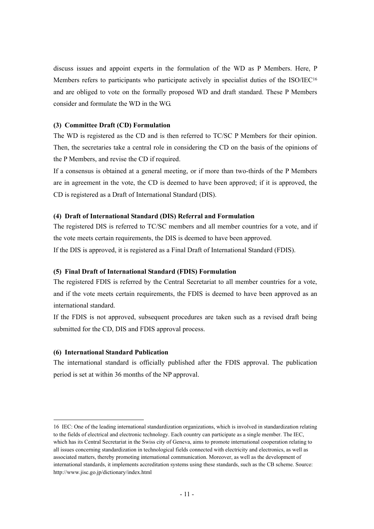discuss issues and appoint experts in the formulation of the WD as P Members. Here, P Members refers to participants who participate actively in specialist duties of the ISO/IEC<sup>16</sup> and are obliged to vote on the formally proposed WD and draft standard. These P Members consider and formulate the WD in the WG.

#### **(3) Committee Draft (CD) Formulation**

The WD is registered as the CD and is then referred to TC/SC P Members for their opinion. Then, the secretaries take a central role in considering the CD on the basis of the opinions of the P Members, and revise the CD if required.

If a consensus is obtained at a general meeting, or if more than two-thirds of the P Members are in agreement in the vote, the CD is deemed to have been approved; if it is approved, the CD is registered as a Draft of International Standard (DIS).

#### **(4) Draft of International Standard (DIS) Referral and Formulation**

The registered DIS is referred to TC/SC members and all member countries for a vote, and if the vote meets certain requirements, the DIS is deemed to have been approved. If the DIS is approved, it is registered as a Final Draft of International Standard (FDIS).

#### **(5) Final Draft of International Standard (FDIS) Formulation**

The registered FDIS is referred by the Central Secretariat to all member countries for a vote, and if the vote meets certain requirements, the FDIS is deemed to have been approved as an international standard.

If the FDIS is not approved, subsequent procedures are taken such as a revised draft being submitted for the CD, DIS and FDIS approval process.

#### **(6) International Standard Publication**

-

The international standard is officially published after the FDIS approval. The publication period is set at within 36 months of the NP approval.

<sup>16</sup> IEC: One of the leading international standardization organizations, which is involved in standardization relating to the fields of electrical and electronic technology. Each country can participate as a single member. The IEC, which has its Central Secretariat in the Swiss city of Geneva, aims to promote international cooperation relating to all issues concerning standardization in technological fields connected with electricity and electronics, as well as associated matters, thereby promoting international communication. Moreover, as well as the development of international standards, it implements accreditation systems using these standards, such as the CB scheme. Source: http://www.jisc.go.jp/dictionary/index.html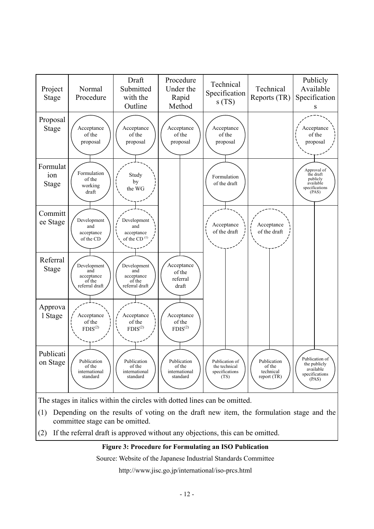

The stages in italics within the circles with dotted lines can be omitted.

- (1) Depending on the results of voting on the draft new item, the formulation stage and the committee stage can be omitted.
- (2) If the referral draft is approved without any objections, this can be omitted.

#### **Figure 3: Procedure for Formulating an ISO Publication**

Source: Website of the Japanese Industrial Standards Committee

http://www.jisc.go.jp/international/iso-prcs.html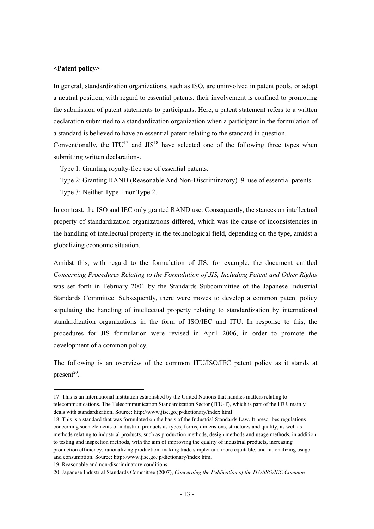#### **<Patent policy>**

In general, standardization organizations, such as ISO, are uninvolved in patent pools, or adopt a neutral position; with regard to essential patents, their involvement is confined to promoting the submission of patent statements to participants. Here, a patent statement refers to a written declaration submitted to a standardization organization when a participant in the formulation of a standard is believed to have an essential patent relating to the standard in question.

Conventionally, the  $ITU^{17}$  and  $JIS^{18}$  have selected one of the following three types when submitting written declarations.

Type 1: Granting royalty-free use of essential patents.

Type 2: Granting RAND (Reasonable And Non-Discriminatory)19 use of essential patents. Type 3: Neither Type 1 nor Type 2.

In contrast, the ISO and IEC only granted RAND use. Consequently, the stances on intellectual property of standardization organizations differed, which was the cause of inconsistencies in the handling of intellectual property in the technological field, depending on the type, amidst a globalizing economic situation.

Amidst this, with regard to the formulation of JIS, for example, the document entitled *Concerning Procedures Relating to the Formulation of JIS, Including Patent and Other Rights* was set forth in February 2001 by the Standards Subcommittee of the Japanese Industrial Standards Committee. Subsequently, there were moves to develop a common patent policy stipulating the handling of intellectual property relating to standardization by international standardization organizations in the form of ISO/IEC and ITU. In response to this, the procedures for JIS formulation were revised in April 2006, in order to promote the development of a common policy.

The following is an overview of the common ITU/ISO/IEC patent policy as it stands at present $^{20}$ .

-

<sup>17</sup> This is an international institution established by the United Nations that handles matters relating to telecommunications. The Telecommunication Standardization Sector (ITU-T), which is part of the ITU, mainly deals with standardization. Source: http://www.jisc.go.jp/dictionary/index.html

<sup>18</sup> This is a standard that was formulated on the basis of the Industrial Standards Law. It prescribes regulations concerning such elements of industrial products as types, forms, dimensions, structures and quality, as well as methods relating to industrial products, such as production methods, design methods and usage methods, in addition to testing and inspection methods, with the aim of improving the quality of industrial products, increasing production efficiency, rationalizing production, making trade simpler and more equitable, and rationalizing usage and consumption. Source: http://www.jisc.go.jp/dictionary/index.html

<sup>19</sup> Reasonable and non-discriminatory conditions.

<sup>20</sup> Japanese Industrial Standards Committee (2007), *Concerning the Publication of the ITU/ISO/IEC Common*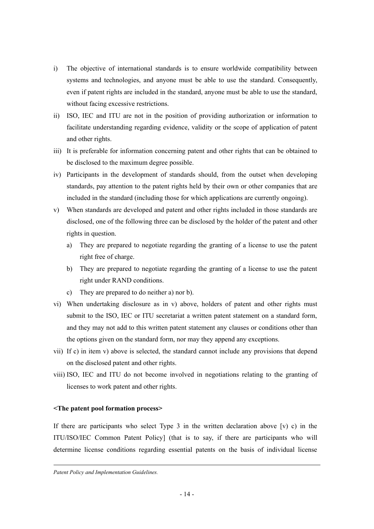- i) The objective of international standards is to ensure worldwide compatibility between systems and technologies, and anyone must be able to use the standard. Consequently, even if patent rights are included in the standard, anyone must be able to use the standard, without facing excessive restrictions.
- ii) ISO, IEC and ITU are not in the position of providing authorization or information to facilitate understanding regarding evidence, validity or the scope of application of patent and other rights.
- iii) It is preferable for information concerning patent and other rights that can be obtained to be disclosed to the maximum degree possible.
- iv) Participants in the development of standards should, from the outset when developing standards, pay attention to the patent rights held by their own or other companies that are included in the standard (including those for which applications are currently ongoing).
- v) When standards are developed and patent and other rights included in those standards are disclosed, one of the following three can be disclosed by the holder of the patent and other rights in question.
	- a) They are prepared to negotiate regarding the granting of a license to use the patent right free of charge.
	- b) They are prepared to negotiate regarding the granting of a license to use the patent right under RAND conditions.
	- c) They are prepared to do neither a) nor b).
- vi) When undertaking disclosure as in v) above, holders of patent and other rights must submit to the ISO, IEC or ITU secretariat a written patent statement on a standard form, and they may not add to this written patent statement any clauses or conditions other than the options given on the standard form, nor may they append any exceptions.
- vii) If c) in item v) above is selected, the standard cannot include any provisions that depend on the disclosed patent and other rights.
- viii) ISO, IEC and ITU do not become involved in negotiations relating to the granting of licenses to work patent and other rights.

#### **<The patent pool formation process>**

If there are participants who select Type  $3$  in the written declaration above  $\lceil v \rceil$  c) in the ITU/ISO/IEC Common Patent Policy] (that is to say, if there are participants who will determine license conditions regarding essential patents on the basis of individual license

-

*Patent Policy and Implementation Guidelines.*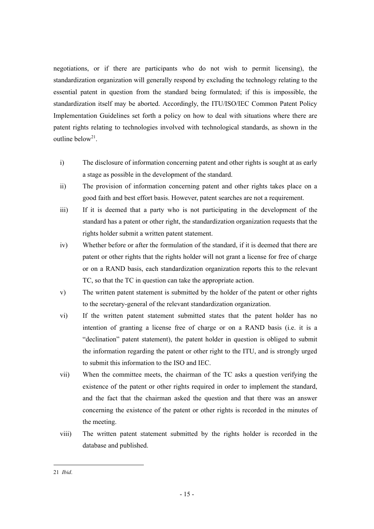negotiations, or if there are participants who do not wish to permit licensing), the standardization organization will generally respond by excluding the technology relating to the essential patent in question from the standard being formulated; if this is impossible, the standardization itself may be aborted. Accordingly, the ITU/ISO/IEC Common Patent Policy Implementation Guidelines set forth a policy on how to deal with situations where there are patent rights relating to technologies involved with technological standards, as shown in the outline below<sup>21</sup>.

- i) The disclosure of information concerning patent and other rights is sought at as early a stage as possible in the development of the standard.
- ii) The provision of information concerning patent and other rights takes place on a good faith and best effort basis. However, patent searches are not a requirement.
- iii) If it is deemed that a party who is not participating in the development of the standard has a patent or other right, the standardization organization requests that the rights holder submit a written patent statement.
- iv) Whether before or after the formulation of the standard, if it is deemed that there are patent or other rights that the rights holder will not grant a license for free of charge or on a RAND basis, each standardization organization reports this to the relevant TC, so that the TC in question can take the appropriate action.
- v) The written patent statement is submitted by the holder of the patent or other rights to the secretary-general of the relevant standardization organization.
- vi) If the written patent statement submitted states that the patent holder has no intention of granting a license free of charge or on a RAND basis (i.e. it is a "declination" patent statement), the patent holder in question is obliged to submit the information regarding the patent or other right to the ITU, and is strongly urged to submit this information to the ISO and IEC.
- vii) When the committee meets, the chairman of the TC asks a question verifying the existence of the patent or other rights required in order to implement the standard, and the fact that the chairman asked the question and that there was an answer concerning the existence of the patent or other rights is recorded in the minutes of the meeting.
- viii) The written patent statement submitted by the rights holder is recorded in the database and published.

<sup>-</sup>21 *Ibid*.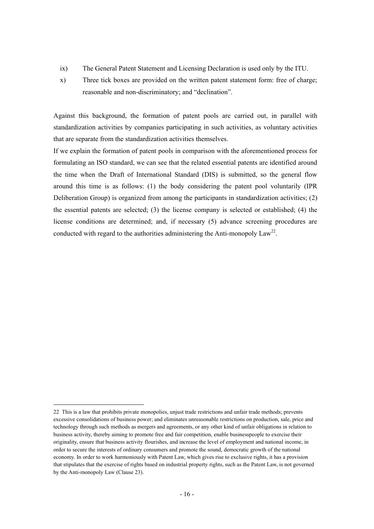- ix) The General Patent Statement and Licensing Declaration is used only by the ITU.
- x) Three tick boxes are provided on the written patent statement form: free of charge; reasonable and non-discriminatory; and "declination".

Against this background, the formation of patent pools are carried out, in parallel with standardization activities by companies participating in such activities, as voluntary activities that are separate from the standardization activities themselves.

If we explain the formation of patent pools in comparison with the aforementioned process for formulating an ISO standard, we can see that the related essential patents are identified around the time when the Draft of International Standard (DIS) is submitted, so the general flow around this time is as follows: (1) the body considering the patent pool voluntarily (IPR Deliberation Group) is organized from among the participants in standardization activities; (2) the essential patents are selected; (3) the license company is selected or established; (4) the license conditions are determined; and, if necessary (5) advance screening procedures are conducted with regard to the authorities administering the Anti-monopoly  $Law^{22}$ .

-

<sup>22</sup> This is a law that prohibits private monopolies, unjust trade restrictions and unfair trade methods; prevents excessive consolidations of business power; and eliminates unreasonable restrictions on production, sale, price and technology through such methods as mergers and agreements, or any other kind of unfair obligations in relation to business activity, thereby aiming to promote free and fair competition, enable businesspeople to exercise their originality, ensure that business activity flourishes, and increase the level of employment and national income, in order to secure the interests of ordinary consumers and promote the sound, democratic growth of the national economy. In order to work harmoniously with Patent Law, which gives rise to exclusive rights, it has a provision that stipulates that the exercise of rights based on industrial property rights, such as the Patent Law, is not governed by the Anti-monopoly Law (Clause 23).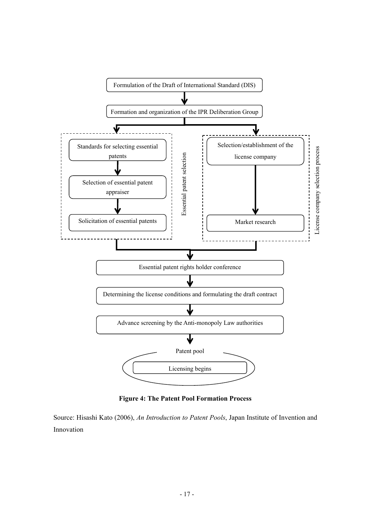

**Figure 4: The Patent Pool Formation Process** 

Source: Hisashi Kato (2006), *An Introduction to Patent Pools*, Japan Institute of Invention and Innovation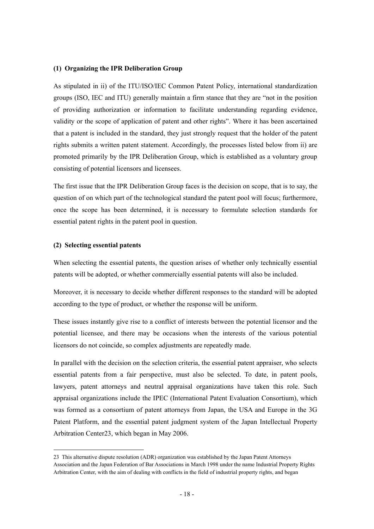#### **(1) Organizing the IPR Deliberation Group**

As stipulated in ii) of the ITU/ISO/IEC Common Patent Policy, international standardization groups (ISO, IEC and ITU) generally maintain a firm stance that they are "not in the position of providing authorization or information to facilitate understanding regarding evidence, validity or the scope of application of patent and other rights". Where it has been ascertained that a patent is included in the standard, they just strongly request that the holder of the patent rights submits a written patent statement. Accordingly, the processes listed below from ii) are promoted primarily by the IPR Deliberation Group, which is established as a voluntary group consisting of potential licensors and licensees.

The first issue that the IPR Deliberation Group faces is the decision on scope, that is to say, the question of on which part of the technological standard the patent pool will focus; furthermore, once the scope has been determined, it is necessary to formulate selection standards for essential patent rights in the patent pool in question.

#### **(2) Selecting essential patents**

-

When selecting the essential patents, the question arises of whether only technically essential patents will be adopted, or whether commercially essential patents will also be included.

Moreover, it is necessary to decide whether different responses to the standard will be adopted according to the type of product, or whether the response will be uniform.

These issues instantly give rise to a conflict of interests between the potential licensor and the potential licensee, and there may be occasions when the interests of the various potential licensors do not coincide, so complex adjustments are repeatedly made.

In parallel with the decision on the selection criteria, the essential patent appraiser, who selects essential patents from a fair perspective, must also be selected. To date, in patent pools, lawyers, patent attorneys and neutral appraisal organizations have taken this role. Such appraisal organizations include the IPEC (International Patent Evaluation Consortium), which was formed as a consortium of patent attorneys from Japan, the USA and Europe in the 3G Patent Platform, and the essential patent judgment system of the Japan Intellectual Property Arbitration Center23, which began in May 2006.

<sup>23</sup> This alternative dispute resolution (ADR) organization was established by the Japan Patent Attorneys Association and the Japan Federation of Bar Associations in March 1998 under the name Industrial Property Rights Arbitration Center, with the aim of dealing with conflicts in the field of industrial property rights, and began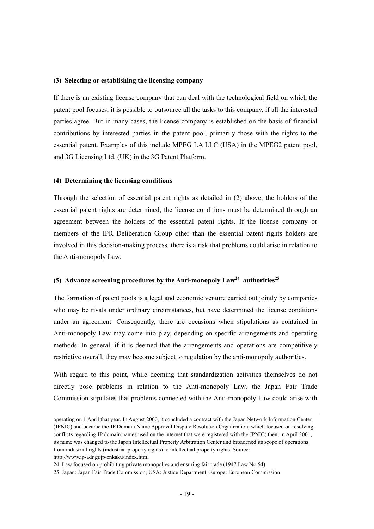#### **(3) Selecting or establishing the licensing company**

If there is an existing license company that can deal with the technological field on which the patent pool focuses, it is possible to outsource all the tasks to this company, if all the interested parties agree. But in many cases, the license company is established on the basis of financial contributions by interested parties in the patent pool, primarily those with the rights to the essential patent. Examples of this include MPEG LA LLC (USA) in the MPEG2 patent pool, and 3G Licensing Ltd. (UK) in the 3G Patent Platform.

#### **(4) Determining the licensing conditions**

-

Through the selection of essential patent rights as detailed in (2) above, the holders of the essential patent rights are determined; the license conditions must be determined through an agreement between the holders of the essential patent rights. If the license company or members of the IPR Deliberation Group other than the essential patent rights holders are involved in this decision-making process, there is a risk that problems could arise in relation to the Anti-monopoly Law.

#### **(5) Advance screening procedures by the Anti-monopoly**  $Law<sup>24</sup>$  **authorities<sup>25</sup>**

The formation of patent pools is a legal and economic venture carried out jointly by companies who may be rivals under ordinary circumstances, but have determined the license conditions under an agreement. Consequently, there are occasions when stipulations as contained in Anti-monopoly Law may come into play, depending on specific arrangements and operating methods. In general, if it is deemed that the arrangements and operations are competitively restrictive overall, they may become subject to regulation by the anti-monopoly authorities.

With regard to this point, while deeming that standardization activities themselves do not directly pose problems in relation to the Anti-monopoly Law, the Japan Fair Trade Commission stipulates that problems connected with the Anti-monopoly Law could arise with

operating on 1 April that year. In August 2000, it concluded a contract with the Japan Network Information Center (JPNIC) and became the JP Domain Name Approval Dispute Resolution Organization, which focused on resolving conflicts regarding JP domain names used on the internet that were registered with the JPNIC; then, in April 2001, its name was changed to the Japan Intellectual Property Arbitration Center and broadened its scope of operations from industrial rights (industrial property rights) to intellectual property rights. Source: http://www.ip-adr.gr.jp/enkaku/index.html

<sup>24</sup> Law focused on prohibiting private monopolies and ensuring fair trade (1947 Law No.54)

<sup>25</sup> Japan: Japan Fair Trade Commission; USA: Justice Department; Europe: European Commission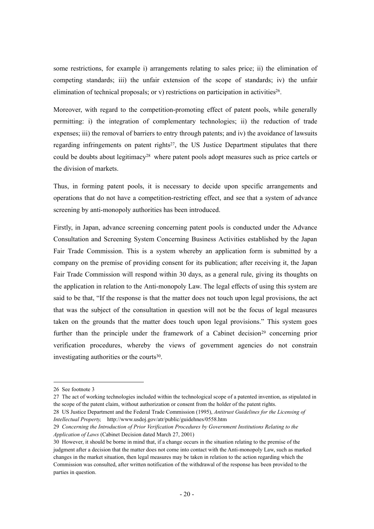some restrictions, for example i) arrangements relating to sales price; ii) the elimination of competing standards; iii) the unfair extension of the scope of standards; iv) the unfair elimination of technical proposals; or v) restrictions on participation in activities<sup>26</sup>.

Moreover, with regard to the competition-promoting effect of patent pools, while generally permitting: i) the integration of complementary technologies; ii) the reduction of trade expenses; iii) the removal of barriers to entry through patents; and iv) the avoidance of lawsuits regarding infringements on patent rights<sup>27</sup>, the US Justice Department stipulates that there could be doubts about legitimacy28 where patent pools adopt measures such as price cartels or the division of markets.

Thus, in forming patent pools, it is necessary to decide upon specific arrangements and operations that do not have a competition-restricting effect, and see that a system of advance screening by anti-monopoly authorities has been introduced.

Firstly, in Japan, advance screening concerning patent pools is conducted under the Advance Consultation and Screening System Concerning Business Activities established by the Japan Fair Trade Commission. This is a system whereby an application form is submitted by a company on the premise of providing consent for its publication; after receiving it, the Japan Fair Trade Commission will respond within 30 days, as a general rule, giving its thoughts on the application in relation to the Anti-monopoly Law. The legal effects of using this system are said to be that, "If the response is that the matter does not touch upon legal provisions, the act that was the subject of the consultation in question will not be the focus of legal measures taken on the grounds that the matter does touch upon legal provisions." This system goes further than the principle under the framework of a Cabinet decision<sup>29</sup> concerning prior verification procedures, whereby the views of government agencies do not constrain investigating authorities or the courts<sup>30</sup>.

-

28 US Justice Department and the Federal Trade Commission (1995), *Antitrust Guidelines for the Licensing of Intellectual Property,* http://www.usdoj.gov/atr/public/guidehnes/0558.htm

<sup>26</sup> See footnote 3

<sup>27</sup> The act of working technologies included within the technological scope of a patented invention, as stipulated in the scope of the patent claim, without authorization or consent from the holder of the patent rights.

<sup>29</sup> *Concerning the Introduction of Prior Verification Procedures by Government Institutions Relating to the Application of Laws* (Cabinet Decision dated March 27, 2001)

<sup>30</sup> However, it should be borne in mind that, if a change occurs in the situation relating to the premise of the judgment after a decision that the matter does not come into contact with the Anti-monopoly Law, such as marked changes in the market situation, then legal measures may be taken in relation to the action regarding which the Commission was consulted, after written notification of the withdrawal of the response has been provided to the parties in question.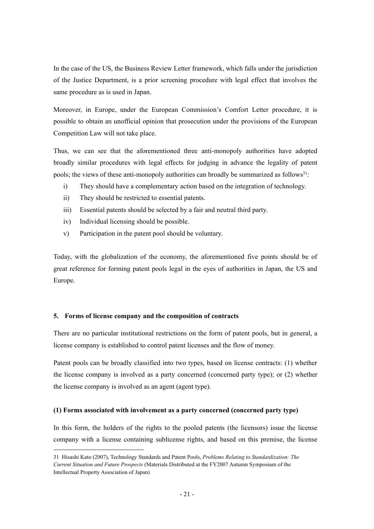In the case of the US, the Business Review Letter framework, which falls under the jurisdiction of the Justice Department, is a prior screening procedure with legal effect that involves the same procedure as is used in Japan.

Moreover, in Europe, under the European Commission's Comfort Letter procedure, it is possible to obtain an unofficial opinion that prosecution under the provisions of the European Competition Law will not take place.

Thus, we can see that the aforementioned three anti-monopoly authorities have adopted broadly similar procedures with legal effects for judging in advance the legality of patent pools; the views of these anti-monopoly authorities can broadly be summarized as follows<sup>31</sup>:

- i) They should have a complementary action based on the integration of technology.
- ii) They should be restricted to essential patents.
- iii) Essential patents should be selected by a fair and neutral third party.
- iv) Individual licensing should be possible.

-

v) Participation in the patent pool should be voluntary.

Today, with the globalization of the economy, the aforementioned five points should be of great reference for forming patent pools legal in the eyes of authorities in Japan, the US and Europe.

#### **5. Forms of license company and the composition of contracts**

There are no particular institutional restrictions on the form of patent pools, but in general, a license company is established to control patent licenses and the flow of money.

Patent pools can be broadly classified into two types, based on license contracts: (1) whether the license company is involved as a party concerned (concerned party type); or (2) whether the license company is involved as an agent (agent type).

#### **(1) Forms associated with involvement as a party concerned (concerned party type)**

In this form, the holders of the rights to the pooled patents (the licensors) issue the license company with a license containing sublicense rights, and based on this premise, the license

<sup>31</sup> Hisashi Kato (2007), Technology Standards and Patent Pools, *Problems Relating to Standardization: The Current Situation and Future Prospects* (Materials Distributed at the FY2007 Autumn Symposium of the Intellectual Property Association of Japan)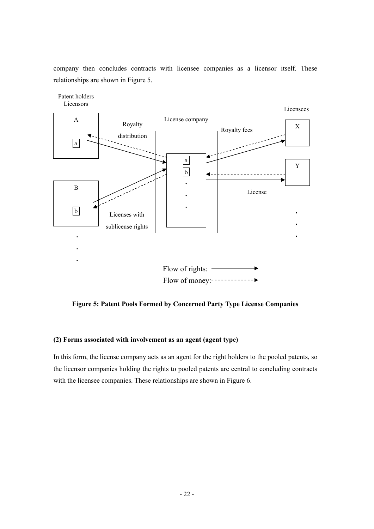company then concludes contracts with licensee companies as a licensor itself. These relationships are shown in Figure 5.



**Figure 5: Patent Pools Formed by Concerned Party Type License Companies** 

#### **(2) Forms associated with involvement as an agent (agent type)**

In this form, the license company acts as an agent for the right holders to the pooled patents, so the licensor companies holding the rights to pooled patents are central to concluding contracts with the licensee companies. These relationships are shown in Figure 6.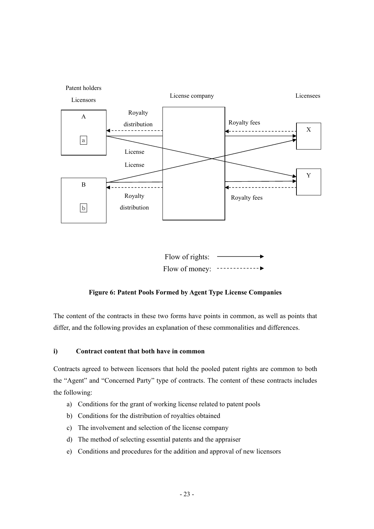



#### **Figure 6: Patent Pools Formed by Agent Type License Companies**

The content of the contracts in these two forms have points in common, as well as points that differ, and the following provides an explanation of these commonalities and differences.

#### **i) Contract content that both have in common**

Contracts agreed to between licensors that hold the pooled patent rights are common to both the "Agent" and "Concerned Party" type of contracts. The content of these contracts includes the following:

- a) Conditions for the grant of working license related to patent pools
- b) Conditions for the distribution of royalties obtained
- c) The involvement and selection of the license company
- d) The method of selecting essential patents and the appraiser
- e) Conditions and procedures for the addition and approval of new licensors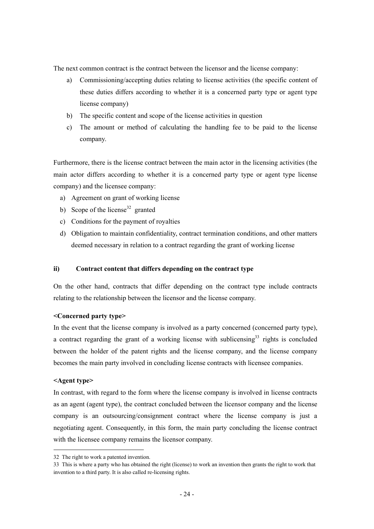The next common contract is the contract between the licensor and the license company:

- a) Commissioning/accepting duties relating to license activities (the specific content of these duties differs according to whether it is a concerned party type or agent type license company)
- b) The specific content and scope of the license activities in question
- c) The amount or method of calculating the handling fee to be paid to the license company.

Furthermore, there is the license contract between the main actor in the licensing activities (the main actor differs according to whether it is a concerned party type or agent type license company) and the licensee company:

- a) Agreement on grant of working license
- b) Scope of the license<sup>32</sup> granted
- c) Conditions for the payment of royalties
- d) Obligation to maintain confidentiality, contract termination conditions, and other matters deemed necessary in relation to a contract regarding the grant of working license

#### **ii) Contract content that differs depending on the contract type**

On the other hand, contracts that differ depending on the contract type include contracts relating to the relationship between the licensor and the license company.

#### **<Concerned party type>**

In the event that the license company is involved as a party concerned (concerned party type), a contract regarding the grant of a working license with sublicensing $33$  rights is concluded between the holder of the patent rights and the license company, and the license company becomes the main party involved in concluding license contracts with licensee companies.

#### **<Agent type>**

-

In contrast, with regard to the form where the license company is involved in license contracts as an agent (agent type), the contract concluded between the licensor company and the license company is an outsourcing/consignment contract where the license company is just a negotiating agent. Consequently, in this form, the main party concluding the license contract with the licensee company remains the licensor company.

<sup>32</sup> The right to work a patented invention.

<sup>33</sup> This is where a party who has obtained the right (license) to work an invention then grants the right to work that invention to a third party. It is also called re-licensing rights.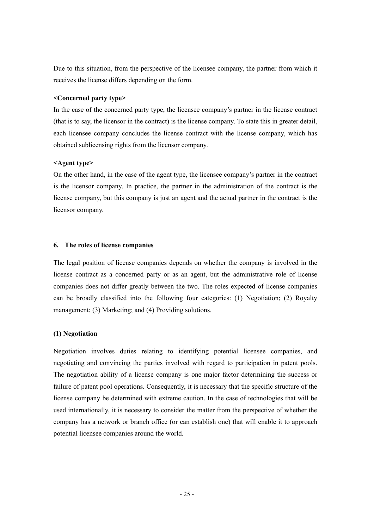Due to this situation, from the perspective of the licensee company, the partner from which it receives the license differs depending on the form.

#### **<Concerned party type>**

In the case of the concerned party type, the licensee company's partner in the license contract (that is to say, the licensor in the contract) is the license company. To state this in greater detail, each licensee company concludes the license contract with the license company, which has obtained sublicensing rights from the licensor company.

#### **<Agent type>**

On the other hand, in the case of the agent type, the licensee company's partner in the contract is the licensor company. In practice, the partner in the administration of the contract is the license company, but this company is just an agent and the actual partner in the contract is the licensor company.

#### **6. The roles of license companies**

The legal position of license companies depends on whether the company is involved in the license contract as a concerned party or as an agent, but the administrative role of license companies does not differ greatly between the two. The roles expected of license companies can be broadly classified into the following four categories: (1) Negotiation; (2) Royalty management; (3) Marketing; and (4) Providing solutions.

#### **(1) Negotiation**

Negotiation involves duties relating to identifying potential licensee companies, and negotiating and convincing the parties involved with regard to participation in patent pools. The negotiation ability of a license company is one major factor determining the success or failure of patent pool operations. Consequently, it is necessary that the specific structure of the license company be determined with extreme caution. In the case of technologies that will be used internationally, it is necessary to consider the matter from the perspective of whether the company has a network or branch office (or can establish one) that will enable it to approach potential licensee companies around the world.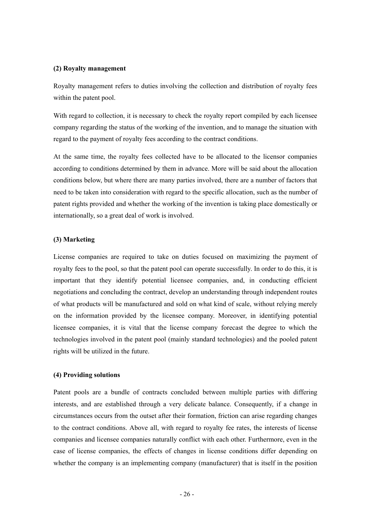#### **(2) Royalty management**

Royalty management refers to duties involving the collection and distribution of royalty fees within the patent pool.

With regard to collection, it is necessary to check the royalty report compiled by each licensee company regarding the status of the working of the invention, and to manage the situation with regard to the payment of royalty fees according to the contract conditions.

At the same time, the royalty fees collected have to be allocated to the licensor companies according to conditions determined by them in advance. More will be said about the allocation conditions below, but where there are many parties involved, there are a number of factors that need to be taken into consideration with regard to the specific allocation, such as the number of patent rights provided and whether the working of the invention is taking place domestically or internationally, so a great deal of work is involved.

#### **(3) Marketing**

License companies are required to take on duties focused on maximizing the payment of royalty fees to the pool, so that the patent pool can operate successfully. In order to do this, it is important that they identify potential licensee companies, and, in conducting efficient negotiations and concluding the contract, develop an understanding through independent routes of what products will be manufactured and sold on what kind of scale, without relying merely on the information provided by the licensee company. Moreover, in identifying potential licensee companies, it is vital that the license company forecast the degree to which the technologies involved in the patent pool (mainly standard technologies) and the pooled patent rights will be utilized in the future.

#### **(4) Providing solutions**

Patent pools are a bundle of contracts concluded between multiple parties with differing interests, and are established through a very delicate balance. Consequently, if a change in circumstances occurs from the outset after their formation, friction can arise regarding changes to the contract conditions. Above all, with regard to royalty fee rates, the interests of license companies and licensee companies naturally conflict with each other. Furthermore, even in the case of license companies, the effects of changes in license conditions differ depending on whether the company is an implementing company (manufacturer) that is itself in the position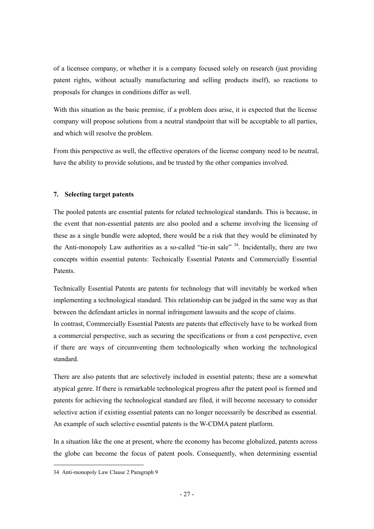of a licensee company, or whether it is a company focused solely on research (just providing patent rights, without actually manufacturing and selling products itself), so reactions to proposals for changes in conditions differ as well.

With this situation as the basic premise, if a problem does arise, it is expected that the license company will propose solutions from a neutral standpoint that will be acceptable to all parties, and which will resolve the problem.

From this perspective as well, the effective operators of the license company need to be neutral, have the ability to provide solutions, and be trusted by the other companies involved.

#### **7. Selecting target patents**

The pooled patents are essential patents for related technological standards. This is because, in the event that non-essential patents are also pooled and a scheme involving the licensing of these as a single bundle were adopted, there would be a risk that they would be eliminated by the Anti-monopoly Law authorities as a so-called "tie-in sale"  $34$ . Incidentally, there are two concepts within essential patents: Technically Essential Patents and Commercially Essential Patents.

Technically Essential Patents are patents for technology that will inevitably be worked when implementing a technological standard. This relationship can be judged in the same way as that between the defendant articles in normal infringement lawsuits and the scope of claims. In contrast, Commercially Essential Patents are patents that effectively have to be worked from a commercial perspective, such as securing the specifications or from a cost perspective, even if there are ways of circumventing them technologically when working the technological standard.

There are also patents that are selectively included in essential patents; these are a somewhat atypical genre. If there is remarkable technological progress after the patent pool is formed and patents for achieving the technological standard are filed, it will become necessary to consider selective action if existing essential patents can no longer necessarily be described as essential. An example of such selective essential patents is the W-CDMA patent platform.

In a situation like the one at present, where the economy has become globalized, patents across the globe can become the focus of patent pools. Consequently, when determining essential

-

<sup>34</sup> Anti-monopoly Law Clause 2 Paragraph 9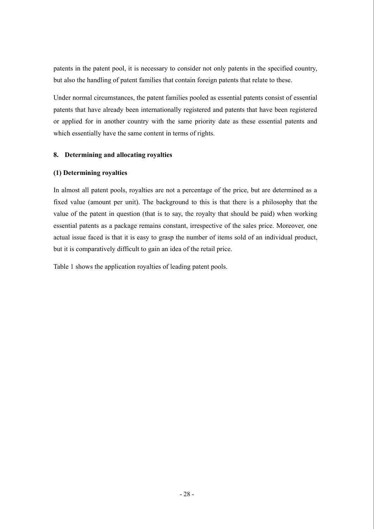patents in the patent pool, it is necessary to consider not only patents in the specified country, but also the handling of patent families that contain foreign patents that relate to these.

Under normal circumstances, the patent families pooled as essential patents consist of essential patents that have already been internationally registered and patents that have been registered or applied for in another country with the same priority date as these essential patents and which essentially have the same content in terms of rights.

#### **8. Determining and allocating royalties**

#### **(1) Determining royalties**

In almost all patent pools, royalties are not a percentage of the price, but are determined as a fixed value (amount per unit). The background to this is that there is a philosophy that the value of the patent in question (that is to say, the royalty that should be paid) when working essential patents as a package remains constant, irrespective of the sales price. Moreover, one actual issue faced is that it is easy to grasp the number of items sold of an individual product, but it is comparatively difficult to gain an idea of the retail price.

Table 1 shows the application royalties of leading patent pools.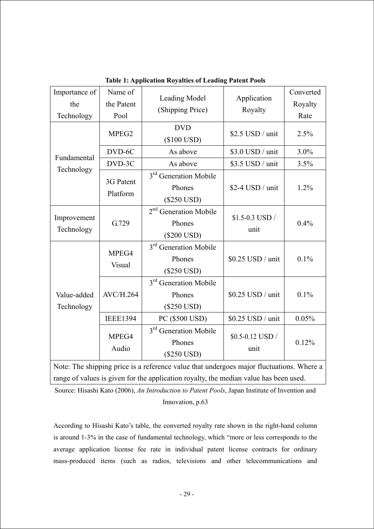| Importance of<br>the<br>Technology                          | Name of<br>the Patent<br>Pool | Leading Model<br>(Shipping Price)                                      | Application<br>Royalty                                                                    | Converted<br>Royalty<br>Rate |
|-------------------------------------------------------------|-------------------------------|------------------------------------------------------------------------|-------------------------------------------------------------------------------------------|------------------------------|
|                                                             | MPEG <sub>2</sub>             | <b>DVD</b><br>$(\$100$ $USD)$                                          | \$2.5 USD / unit                                                                          | 2.5%                         |
| Fundamental                                                 | DVD-6C                        | As above                                                               | \$3.0 USD / unit                                                                          | 3.0%                         |
|                                                             | DVD-3C                        | As above                                                               | \$3.5 USD / unit                                                                          | 3.5%                         |
| Technology                                                  | 3G Patent<br>Platform         | 3 <sup>rd</sup> Generation Mobile<br>Phones<br>$(\$250$ USD)           | \$2-4 USD / unit                                                                          | 1.2%                         |
| Improvement<br>Technology                                   | G.729                         | 2 <sup>nd</sup> Generation Mobile<br>Phones<br>(\$200 USD)             | \$1.5-0.3 USD /<br>unit                                                                   | 0.4%                         |
| Value-added<br>Technology<br>Make The straighter and of the | MPEG4<br>Visual               | $3^{\text{rd}}$<br><b>Generation Mobile</b><br>Phones<br>$(\$250$ USD) | \$0.25 USD / unit                                                                         | 0.1%                         |
|                                                             | <b>AVC/H.264</b>              | $3^{\text{rd}}$<br><b>Generation Mobile</b><br>Phones<br>$(\$250$ USD) | \$0.25 USD / unit                                                                         | 0.1%                         |
|                                                             | <b>IEEE1394</b>               | PC (\$500 USD)                                                         | \$0.25 USD / unit                                                                         | 0.05%                        |
|                                                             | MPEG4<br>Audio                | 3 <sup>rd</sup> Generation Mobile<br>Phones<br>$(\$250$ USD)           | \$0.5-0.12 USD /<br>unit<br>$\mathbf{C}$ and $\mathbf{C}$ are all the set of $\mathbf{C}$ | 0.12%<br>TVT                 |

**Table 1: Application Royalties of Leading Patent Pools** 

Note: The shipping price is a reference value that undergoes major fluctuations. Where a range of values is given for the application royalty, the median value has been used.

Source: Hisashi Kato (2006), *An Introduction to Patent Pools*, Japan Institute of Invention and Innovation, p.63

According to Hisashi Kato's table, the converted royalty rate shown in the right-hand column is around 1-3% in the case of fundamental technology, which "more or less corresponds to the average application license fee rate in individual patent license contracts for ordinary mass-produced items (such as radios, televisions and other telecommunications and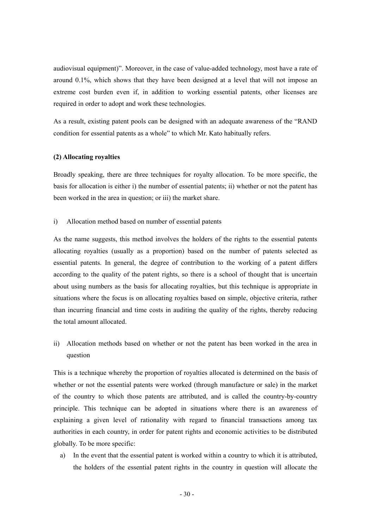audiovisual equipment)". Moreover, in the case of value-added technology, most have a rate of around 0.1%, which shows that they have been designed at a level that will not impose an extreme cost burden even if, in addition to working essential patents, other licenses are required in order to adopt and work these technologies.

As a result, existing patent pools can be designed with an adequate awareness of the "RAND condition for essential patents as a whole" to which Mr. Kato habitually refers.

#### **(2) Allocating royalties**

Broadly speaking, there are three techniques for royalty allocation. To be more specific, the basis for allocation is either i) the number of essential patents; ii) whether or not the patent has been worked in the area in question; or iii) the market share.

i) Allocation method based on number of essential patents

As the name suggests, this method involves the holders of the rights to the essential patents allocating royalties (usually as a proportion) based on the number of patents selected as essential patents. In general, the degree of contribution to the working of a patent differs according to the quality of the patent rights, so there is a school of thought that is uncertain about using numbers as the basis for allocating royalties, but this technique is appropriate in situations where the focus is on allocating royalties based on simple, objective criteria, rather than incurring financial and time costs in auditing the quality of the rights, thereby reducing the total amount allocated.

ii) Allocation methods based on whether or not the patent has been worked in the area in question

This is a technique whereby the proportion of royalties allocated is determined on the basis of whether or not the essential patents were worked (through manufacture or sale) in the market of the country to which those patents are attributed, and is called the country-by-country principle. This technique can be adopted in situations where there is an awareness of explaining a given level of rationality with regard to financial transactions among tax authorities in each country, in order for patent rights and economic activities to be distributed globally. To be more specific:

a) In the event that the essential patent is worked within a country to which it is attributed, the holders of the essential patent rights in the country in question will allocate the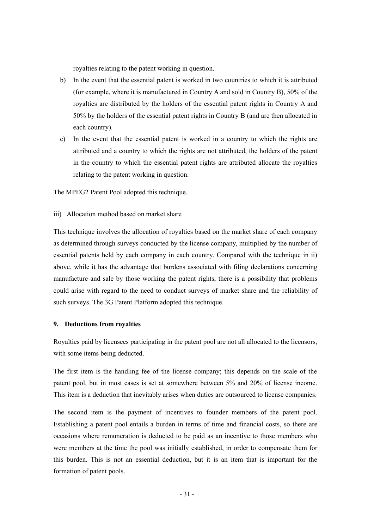royalties relating to the patent working in question.

- b) In the event that the essential patent is worked in two countries to which it is attributed (for example, where it is manufactured in Country A and sold in Country B), 50% of the royalties are distributed by the holders of the essential patent rights in Country A and 50% by the holders of the essential patent rights in Country B (and are then allocated in each country).
- c) In the event that the essential patent is worked in a country to which the rights are attributed and a country to which the rights are not attributed, the holders of the patent in the country to which the essential patent rights are attributed allocate the royalties relating to the patent working in question.

The MPEG2 Patent Pool adopted this technique.

iii) Allocation method based on market share

This technique involves the allocation of royalties based on the market share of each company as determined through surveys conducted by the license company, multiplied by the number of essential patents held by each company in each country. Compared with the technique in ii) above, while it has the advantage that burdens associated with filing declarations concerning manufacture and sale by those working the patent rights, there is a possibility that problems could arise with regard to the need to conduct surveys of market share and the reliability of such surveys. The 3G Patent Platform adopted this technique.

#### **9. Deductions from royalties**

Royalties paid by licensees participating in the patent pool are not all allocated to the licensors, with some items being deducted.

The first item is the handling fee of the license company; this depends on the scale of the patent pool, but in most cases is set at somewhere between 5% and 20% of license income. This item is a deduction that inevitably arises when duties are outsourced to license companies.

The second item is the payment of incentives to founder members of the patent pool. Establishing a patent pool entails a burden in terms of time and financial costs, so there are occasions where remuneration is deducted to be paid as an incentive to those members who were members at the time the pool was initially established, in order to compensate them for this burden. This is not an essential deduction, but it is an item that is important for the formation of patent pools.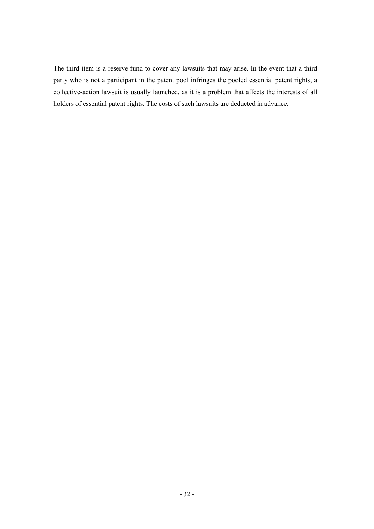The third item is a reserve fund to cover any lawsuits that may arise. In the event that a third party who is not a participant in the patent pool infringes the pooled essential patent rights, a collective-action lawsuit is usually launched, as it is a problem that affects the interests of all holders of essential patent rights. The costs of such lawsuits are deducted in advance.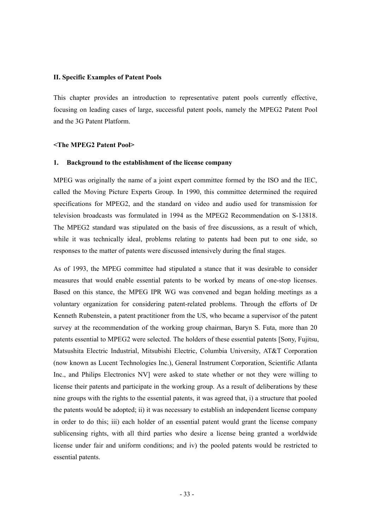#### **II. Specific Examples of Patent Pools**

This chapter provides an introduction to representative patent pools currently effective, focusing on leading cases of large, successful patent pools, namely the MPEG2 Patent Pool and the 3G Patent Platform.

#### **<The MPEG2 Patent Pool>**

#### **1. Background to the establishment of the license company**

MPEG was originally the name of a joint expert committee formed by the ISO and the IEC, called the Moving Picture Experts Group. In 1990, this committee determined the required specifications for MPEG2, and the standard on video and audio used for transmission for television broadcasts was formulated in 1994 as the MPEG2 Recommendation on S-13818. The MPEG2 standard was stipulated on the basis of free discussions, as a result of which, while it was technically ideal, problems relating to patents had been put to one side, so responses to the matter of patents were discussed intensively during the final stages.

As of 1993, the MPEG committee had stipulated a stance that it was desirable to consider measures that would enable essential patents to be worked by means of one-stop licenses. Based on this stance, the MPEG IPR WG was convened and began holding meetings as a voluntary organization for considering patent-related problems. Through the efforts of Dr Kenneth Rubenstein, a patent practitioner from the US, who became a supervisor of the patent survey at the recommendation of the working group chairman, Baryn S. Futa, more than 20 patents essential to MPEG2 were selected. The holders of these essential patents [Sony, Fujitsu, Matsushita Electric Industrial, Mitsubishi Electric, Columbia University, AT&T Corporation (now known as Lucent Technologies Inc.), General Instrument Corporation, Scientific Atlanta Inc., and Philips Electronics NV] were asked to state whether or not they were willing to license their patents and participate in the working group. As a result of deliberations by these nine groups with the rights to the essential patents, it was agreed that, i) a structure that pooled the patents would be adopted; ii) it was necessary to establish an independent license company in order to do this; iii) each holder of an essential patent would grant the license company sublicensing rights, with all third parties who desire a license being granted a worldwide license under fair and uniform conditions; and iv) the pooled patents would be restricted to essential patents.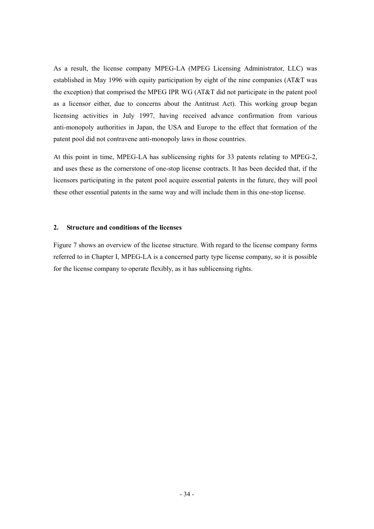As a result, the license company MPEG-LA (MPEG Licensing Administrator, LLC) was established in May 1996 with equity participation by eight of the nine companies (AT&T was the exception) that comprised the MPEG IPR WG (AT&T did not participate in the patent pool as a licensor either, due to concerns about the Antitrust Act). This working group began licensing activities in July 1997, having received advance confirmation from various anti-monopoly authorities in Japan, the USA and Europe to the effect that formation of the patent pool did not contravene anti-monopoly laws in those countries.

At this point in time, MPEG-LA has sublicensing rights for 33 patents relating to MPEG-2, and uses these as the cornerstone of one-stop license contracts. It has been decided that, if the licensors participating in the patent pool acquire essential patents in the future, they will pool these other essential patents in the same way and will include them in this one-stop license.

#### **2. Structure and conditions of the licenses**

Figure 7 shows an overview of the license structure. With regard to the license company forms referred to in Chapter I, MPEG-LA is a concerned party type license company, so it is possible for the license company to operate flexibly, as it has sublicensing rights.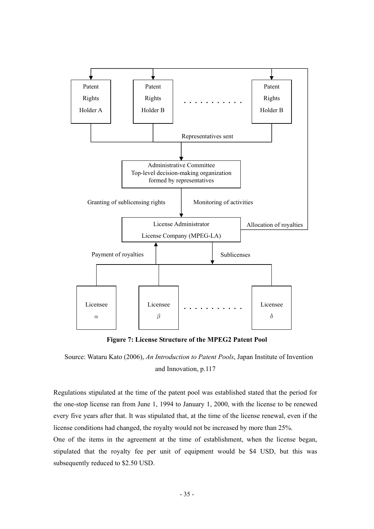

**Figure 7: License Structure of the MPEG2 Patent Pool** 

Regulations stipulated at the time of the patent pool was established stated that the period for the one-stop license ran from June 1, 1994 to January 1, 2000, with the license to be renewed every five years after that. It was stipulated that, at the time of the license renewal, even if the license conditions had changed, the royalty would not be increased by more than 25%.

One of the items in the agreement at the time of establishment, when the license began, stipulated that the royalty fee per unit of equipment would be \$4 USD, but this was subsequently reduced to \$2.50 USD.

Source: Wataru Kato (2006), *An Introduction to Patent Pools*, Japan Institute of Invention and Innovation, p.117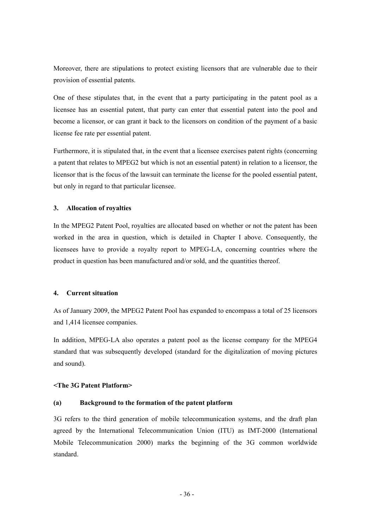Moreover, there are stipulations to protect existing licensors that are vulnerable due to their provision of essential patents.

One of these stipulates that, in the event that a party participating in the patent pool as a licensee has an essential patent, that party can enter that essential patent into the pool and become a licensor, or can grant it back to the licensors on condition of the payment of a basic license fee rate per essential patent.

Furthermore, it is stipulated that, in the event that a licensee exercises patent rights (concerning a patent that relates to MPEG2 but which is not an essential patent) in relation to a licensor, the licensor that is the focus of the lawsuit can terminate the license for the pooled essential patent, but only in regard to that particular licensee.

#### **3. Allocation of royalties**

In the MPEG2 Patent Pool, royalties are allocated based on whether or not the patent has been worked in the area in question, which is detailed in Chapter I above. Consequently, the licensees have to provide a royalty report to MPEG-LA, concerning countries where the product in question has been manufactured and/or sold, and the quantities thereof.

#### **4. Current situation**

As of January 2009, the MPEG2 Patent Pool has expanded to encompass a total of 25 licensors and 1,414 licensee companies.

In addition, MPEG-LA also operates a patent pool as the license company for the MPEG4 standard that was subsequently developed (standard for the digitalization of moving pictures and sound).

#### **<The 3G Patent Platform>**

#### **(a) Background to the formation of the patent platform**

3G refers to the third generation of mobile telecommunication systems, and the draft plan agreed by the International Telecommunication Union (ITU) as IMT-2000 (International Mobile Telecommunication 2000) marks the beginning of the 3G common worldwide standard.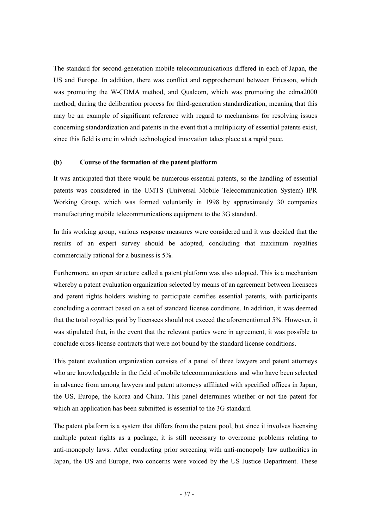The standard for second-generation mobile telecommunications differed in each of Japan, the US and Europe. In addition, there was conflict and rapprochement between Ericsson, which was promoting the W-CDMA method, and Qualcom, which was promoting the cdma2000 method, during the deliberation process for third-generation standardization, meaning that this may be an example of significant reference with regard to mechanisms for resolving issues concerning standardization and patents in the event that a multiplicity of essential patents exist, since this field is one in which technological innovation takes place at a rapid pace.

#### **(b) Course of the formation of the patent platform**

It was anticipated that there would be numerous essential patents, so the handling of essential patents was considered in the UMTS (Universal Mobile Telecommunication System) IPR Working Group, which was formed voluntarily in 1998 by approximately 30 companies manufacturing mobile telecommunications equipment to the 3G standard.

In this working group, various response measures were considered and it was decided that the results of an expert survey should be adopted, concluding that maximum royalties commercially rational for a business is 5%.

Furthermore, an open structure called a patent platform was also adopted. This is a mechanism whereby a patent evaluation organization selected by means of an agreement between licensees and patent rights holders wishing to participate certifies essential patents, with participants concluding a contract based on a set of standard license conditions. In addition, it was deemed that the total royalties paid by licensees should not exceed the aforementioned 5%. However, it was stipulated that, in the event that the relevant parties were in agreement, it was possible to conclude cross-license contracts that were not bound by the standard license conditions.

This patent evaluation organization consists of a panel of three lawyers and patent attorneys who are knowledgeable in the field of mobile telecommunications and who have been selected in advance from among lawyers and patent attorneys affiliated with specified offices in Japan, the US, Europe, the Korea and China. This panel determines whether or not the patent for which an application has been submitted is essential to the 3G standard.

The patent platform is a system that differs from the patent pool, but since it involves licensing multiple patent rights as a package, it is still necessary to overcome problems relating to anti-monopoly laws. After conducting prior screening with anti-monopoly law authorities in Japan, the US and Europe, two concerns were voiced by the US Justice Department. These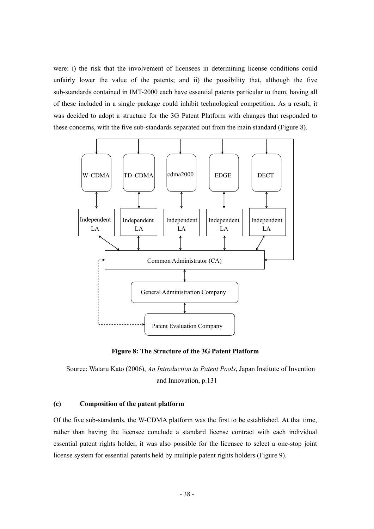were: i) the risk that the involvement of licensees in determining license conditions could unfairly lower the value of the patents; and ii) the possibility that, although the five sub-standards contained in IMT-2000 each have essential patents particular to them, having all of these included in a single package could inhibit technological competition. As a result, it was decided to adopt a structure for the 3G Patent Platform with changes that responded to these concerns, with the five sub-standards separated out from the main standard (Figure 8).



**Figure 8: The Structure of the 3G Patent Platform** 

Source: Wataru Kato (2006), *An Introduction to Patent Pools*, Japan Institute of Invention and Innovation, p.131

#### **(c) Composition of the patent platform**

Of the five sub-standards, the W-CDMA platform was the first to be established. At that time, rather than having the licensee conclude a standard license contract with each individual essential patent rights holder, it was also possible for the licensee to select a one-stop joint license system for essential patents held by multiple patent rights holders (Figure 9).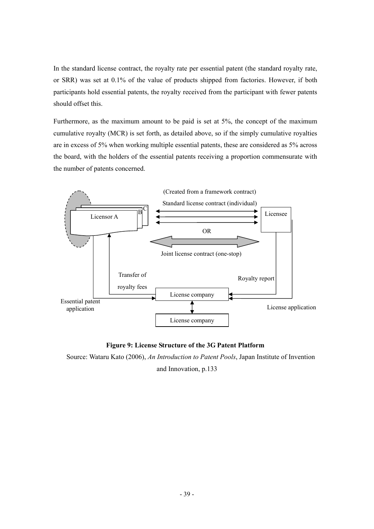In the standard license contract, the royalty rate per essential patent (the standard royalty rate, or SRR) was set at 0.1% of the value of products shipped from factories. However, if both participants hold essential patents, the royalty received from the participant with fewer patents should offset this.

Furthermore, as the maximum amount to be paid is set at 5%, the concept of the maximum cumulative royalty (MCR) is set forth, as detailed above, so if the simply cumulative royalties are in excess of 5% when working multiple essential patents, these are considered as 5% across the board, with the holders of the essential patents receiving a proportion commensurate with the number of patents concerned.



**Figure 9: License Structure of the 3G Patent Platform** 

Source: Wataru Kato (2006), *An Introduction to Patent Pools*, Japan Institute of Invention

and Innovation, p.133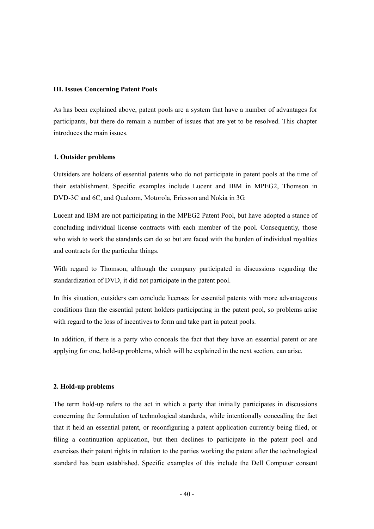#### **III. Issues Concerning Patent Pools**

As has been explained above, patent pools are a system that have a number of advantages for participants, but there do remain a number of issues that are yet to be resolved. This chapter introduces the main issues.

#### **1. Outsider problems**

Outsiders are holders of essential patents who do not participate in patent pools at the time of their establishment. Specific examples include Lucent and IBM in MPEG2, Thomson in DVD-3C and 6C, and Qualcom, Motorola, Ericsson and Nokia in 3G.

Lucent and IBM are not participating in the MPEG2 Patent Pool, but have adopted a stance of concluding individual license contracts with each member of the pool. Consequently, those who wish to work the standards can do so but are faced with the burden of individual royalties and contracts for the particular things.

With regard to Thomson, although the company participated in discussions regarding the standardization of DVD, it did not participate in the patent pool.

In this situation, outsiders can conclude licenses for essential patents with more advantageous conditions than the essential patent holders participating in the patent pool, so problems arise with regard to the loss of incentives to form and take part in patent pools.

In addition, if there is a party who conceals the fact that they have an essential patent or are applying for one, hold-up problems, which will be explained in the next section, can arise.

#### **2. Hold-up problems**

The term hold-up refers to the act in which a party that initially participates in discussions concerning the formulation of technological standards, while intentionally concealing the fact that it held an essential patent, or reconfiguring a patent application currently being filed, or filing a continuation application, but then declines to participate in the patent pool and exercises their patent rights in relation to the parties working the patent after the technological standard has been established. Specific examples of this include the Dell Computer consent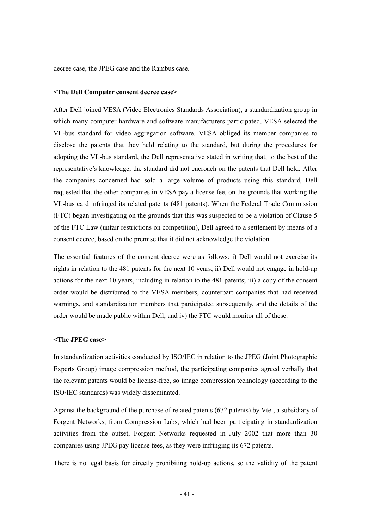decree case, the JPEG case and the Rambus case.

#### **<The Dell Computer consent decree case>**

After Dell joined VESA (Video Electronics Standards Association), a standardization group in which many computer hardware and software manufacturers participated, VESA selected the VL-bus standard for video aggregation software. VESA obliged its member companies to disclose the patents that they held relating to the standard, but during the procedures for adopting the VL-bus standard, the Dell representative stated in writing that, to the best of the representative's knowledge, the standard did not encroach on the patents that Dell held. After the companies concerned had sold a large volume of products using this standard, Dell requested that the other companies in VESA pay a license fee, on the grounds that working the VL-bus card infringed its related patents (481 patents). When the Federal Trade Commission (FTC) began investigating on the grounds that this was suspected to be a violation of Clause 5 of the FTC Law (unfair restrictions on competition), Dell agreed to a settlement by means of a consent decree, based on the premise that it did not acknowledge the violation.

The essential features of the consent decree were as follows: i) Dell would not exercise its rights in relation to the 481 patents for the next 10 years; ii) Dell would not engage in hold-up actions for the next 10 years, including in relation to the 481 patents; iii) a copy of the consent order would be distributed to the VESA members, counterpart companies that had received warnings, and standardization members that participated subsequently, and the details of the order would be made public within Dell; and iv) the FTC would monitor all of these.

#### **<The JPEG case>**

In standardization activities conducted by ISO/IEC in relation to the JPEG (Joint Photographic Experts Group) image compression method, the participating companies agreed verbally that the relevant patents would be license-free, so image compression technology (according to the ISO/IEC standards) was widely disseminated.

Against the background of the purchase of related patents (672 patents) by Vtel, a subsidiary of Forgent Networks, from Compression Labs, which had been participating in standardization activities from the outset, Forgent Networks requested in July 2002 that more than 30 companies using JPEG pay license fees, as they were infringing its 672 patents.

There is no legal basis for directly prohibiting hold-up actions, so the validity of the patent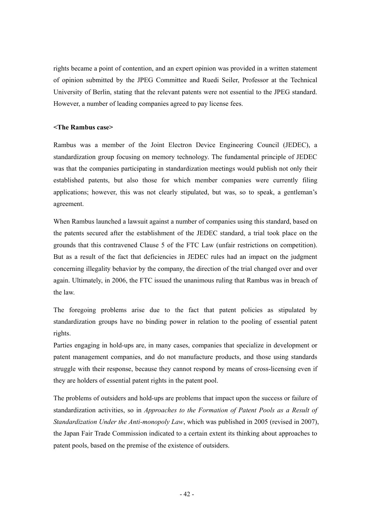rights became a point of contention, and an expert opinion was provided in a written statement of opinion submitted by the JPEG Committee and Ruedi Seiler, Professor at the Technical University of Berlin, stating that the relevant patents were not essential to the JPEG standard. However, a number of leading companies agreed to pay license fees.

#### **<The Rambus case>**

Rambus was a member of the Joint Electron Device Engineering Council (JEDEC), a standardization group focusing on memory technology. The fundamental principle of JEDEC was that the companies participating in standardization meetings would publish not only their established patents, but also those for which member companies were currently filing applications; however, this was not clearly stipulated, but was, so to speak, a gentleman's agreement.

When Rambus launched a lawsuit against a number of companies using this standard, based on the patents secured after the establishment of the JEDEC standard, a trial took place on the grounds that this contravened Clause 5 of the FTC Law (unfair restrictions on competition). But as a result of the fact that deficiencies in JEDEC rules had an impact on the judgment concerning illegality behavior by the company, the direction of the trial changed over and over again. Ultimately, in 2006, the FTC issued the unanimous ruling that Rambus was in breach of the law.

The foregoing problems arise due to the fact that patent policies as stipulated by standardization groups have no binding power in relation to the pooling of essential patent rights.

Parties engaging in hold-ups are, in many cases, companies that specialize in development or patent management companies, and do not manufacture products, and those using standards struggle with their response, because they cannot respond by means of cross-licensing even if they are holders of essential patent rights in the patent pool.

The problems of outsiders and hold-ups are problems that impact upon the success or failure of standardization activities, so in *Approaches to the Formation of Patent Pools as a Result of Standardization Under the Anti-monopoly Law*, which was published in 2005 (revised in 2007), the Japan Fair Trade Commission indicated to a certain extent its thinking about approaches to patent pools, based on the premise of the existence of outsiders.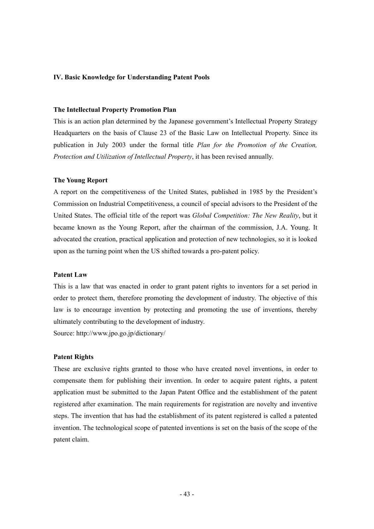#### **IV. Basic Knowledge for Understanding Patent Pools**

#### **The Intellectual Property Promotion Plan**

This is an action plan determined by the Japanese government's Intellectual Property Strategy Headquarters on the basis of Clause 23 of the Basic Law on Intellectual Property. Since its publication in July 2003 under the formal title *Plan for the Promotion of the Creation, Protection and Utilization of Intellectual Property*, it has been revised annually.

#### **The Young Report**

A report on the competitiveness of the United States, published in 1985 by the President's Commission on Industrial Competitiveness, a council of special advisors to the President of the United States. The official title of the report was *Global Competition: The New Reality*, but it became known as the Young Report, after the chairman of the commission, J.A. Young. It advocated the creation, practical application and protection of new technologies, so it is looked upon as the turning point when the US shifted towards a pro-patent policy.

#### **Patent Law**

This is a law that was enacted in order to grant patent rights to inventors for a set period in order to protect them, therefore promoting the development of industry. The objective of this law is to encourage invention by protecting and promoting the use of inventions, thereby ultimately contributing to the development of industry.

Source: http://www.jpo.go.jp/dictionary/

#### **Patent Rights**

These are exclusive rights granted to those who have created novel inventions, in order to compensate them for publishing their invention. In order to acquire patent rights, a patent application must be submitted to the Japan Patent Office and the establishment of the patent registered after examination. The main requirements for registration are novelty and inventive steps. The invention that has had the establishment of its patent registered is called a patented invention. The technological scope of patented inventions is set on the basis of the scope of the patent claim.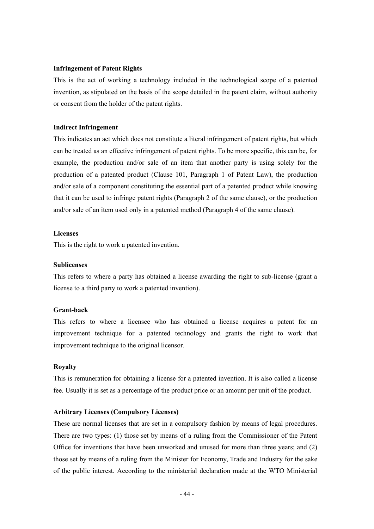#### **Infringement of Patent Rights**

This is the act of working a technology included in the technological scope of a patented invention, as stipulated on the basis of the scope detailed in the patent claim, without authority or consent from the holder of the patent rights.

#### **Indirect Infringement**

This indicates an act which does not constitute a literal infringement of patent rights, but which can be treated as an effective infringement of patent rights. To be more specific, this can be, for example, the production and/or sale of an item that another party is using solely for the production of a patented product (Clause 101, Paragraph 1 of Patent Law), the production and/or sale of a component constituting the essential part of a patented product while knowing that it can be used to infringe patent rights (Paragraph 2 of the same clause), or the production and/or sale of an item used only in a patented method (Paragraph 4 of the same clause).

#### **Licenses**

This is the right to work a patented invention.

#### **Sublicenses**

This refers to where a party has obtained a license awarding the right to sub-license (grant a license to a third party to work a patented invention).

#### **Grant-back**

This refers to where a licensee who has obtained a license acquires a patent for an improvement technique for a patented technology and grants the right to work that improvement technique to the original licensor.

#### **Royalty**

This is remuneration for obtaining a license for a patented invention. It is also called a license fee. Usually it is set as a percentage of the product price or an amount per unit of the product.

#### **Arbitrary Licenses (Compulsory Licenses)**

These are normal licenses that are set in a compulsory fashion by means of legal procedures. There are two types: (1) those set by means of a ruling from the Commissioner of the Patent Office for inventions that have been unworked and unused for more than three years; and (2) those set by means of a ruling from the Minister for Economy, Trade and Industry for the sake of the public interest. According to the ministerial declaration made at the WTO Ministerial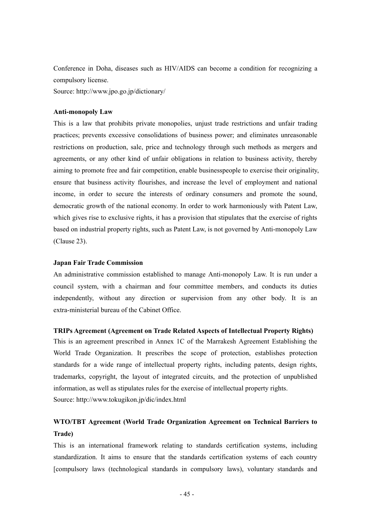Conference in Doha, diseases such as HIV/AIDS can become a condition for recognizing a compulsory license.

Source: http://www.jpo.go.jp/dictionary/

#### **Anti-monopoly Law**

This is a law that prohibits private monopolies, unjust trade restrictions and unfair trading practices; prevents excessive consolidations of business power; and eliminates unreasonable restrictions on production, sale, price and technology through such methods as mergers and agreements, or any other kind of unfair obligations in relation to business activity, thereby aiming to promote free and fair competition, enable businesspeople to exercise their originality, ensure that business activity flourishes, and increase the level of employment and national income, in order to secure the interests of ordinary consumers and promote the sound, democratic growth of the national economy. In order to work harmoniously with Patent Law, which gives rise to exclusive rights, it has a provision that stipulates that the exercise of rights based on industrial property rights, such as Patent Law, is not governed by Anti-monopoly Law (Clause 23).

#### **Japan Fair Trade Commission**

An administrative commission established to manage Anti-monopoly Law. It is run under a council system, with a chairman and four committee members, and conducts its duties independently, without any direction or supervision from any other body. It is an extra-ministerial bureau of the Cabinet Office.

#### **TRIPs Agreement (Agreement on Trade Related Aspects of Intellectual Property Rights)**

This is an agreement prescribed in Annex 1C of the Marrakesh Agreement Establishing the World Trade Organization. It prescribes the scope of protection, establishes protection standards for a wide range of intellectual property rights, including patents, design rights, trademarks, copyright, the layout of integrated circuits, and the protection of unpublished information, as well as stipulates rules for the exercise of intellectual property rights. Source: http://www.tokugikon.jp/dic/index.html

#### **WTO/TBT Agreement (World Trade Organization Agreement on Technical Barriers to Trade)**

This is an international framework relating to standards certification systems, including standardization. It aims to ensure that the standards certification systems of each country [compulsory laws (technological standards in compulsory laws), voluntary standards and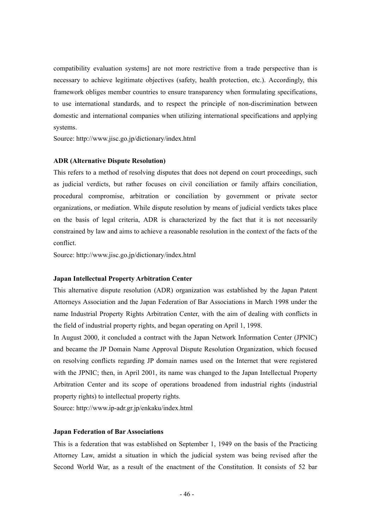compatibility evaluation systems] are not more restrictive from a trade perspective than is necessary to achieve legitimate objectives (safety, health protection, etc.). Accordingly, this framework obliges member countries to ensure transparency when formulating specifications, to use international standards, and to respect the principle of non-discrimination between domestic and international companies when utilizing international specifications and applying systems.

Source: http://www.jisc.go.jp/dictionary/index.html

#### **ADR (Alternative Dispute Resolution)**

This refers to a method of resolving disputes that does not depend on court proceedings, such as judicial verdicts, but rather focuses on civil conciliation or family affairs conciliation, procedural compromise, arbitration or conciliation by government or private sector organizations, or mediation. While dispute resolution by means of judicial verdicts takes place on the basis of legal criteria, ADR is characterized by the fact that it is not necessarily constrained by law and aims to achieve a reasonable resolution in the context of the facts of the conflict.

Source: http://www.jisc.go.jp/dictionary/index.html

#### **Japan Intellectual Property Arbitration Center**

This alternative dispute resolution (ADR) organization was established by the Japan Patent Attorneys Association and the Japan Federation of Bar Associations in March 1998 under the name Industrial Property Rights Arbitration Center, with the aim of dealing with conflicts in the field of industrial property rights, and began operating on April 1, 1998.

In August 2000, it concluded a contract with the Japan Network Information Center (JPNIC) and became the JP Domain Name Approval Dispute Resolution Organization, which focused on resolving conflicts regarding JP domain names used on the Internet that were registered with the JPNIC; then, in April 2001, its name was changed to the Japan Intellectual Property Arbitration Center and its scope of operations broadened from industrial rights (industrial property rights) to intellectual property rights.

Source: http://www.ip-adr.gr.jp/enkaku/index.html

#### **Japan Federation of Bar Associations**

This is a federation that was established on September 1, 1949 on the basis of the Practicing Attorney Law, amidst a situation in which the judicial system was being revised after the Second World War, as a result of the enactment of the Constitution. It consists of 52 bar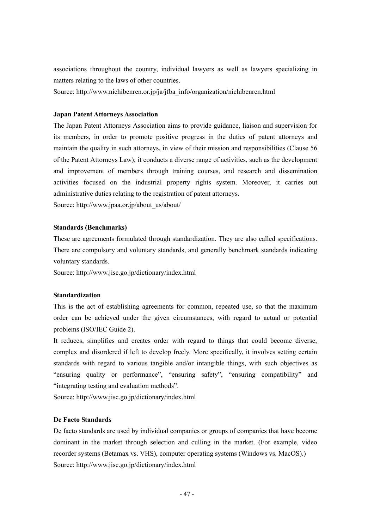associations throughout the country, individual lawyers as well as lawyers specializing in matters relating to the laws of other countries.

Source: http://www.nichibenren.or.jp/ja/jfba\_info/organization/nichibenren.html

#### **Japan Patent Attorneys Association**

The Japan Patent Attorneys Association aims to provide guidance, liaison and supervision for its members, in order to promote positive progress in the duties of patent attorneys and maintain the quality in such attorneys, in view of their mission and responsibilities (Clause 56 of the Patent Attorneys Law); it conducts a diverse range of activities, such as the development and improvement of members through training courses, and research and dissemination activities focused on the industrial property rights system. Moreover, it carries out administrative duties relating to the registration of patent attorneys. Source: http://www.jpaa.or.jp/about\_us/about/

#### **Standards (Benchmarks)**

These are agreements formulated through standardization. They are also called specifications. There are compulsory and voluntary standards, and generally benchmark standards indicating voluntary standards.

Source: http://www.jisc.go.jp/dictionary/index.html

#### **Standardization**

This is the act of establishing agreements for common, repeated use, so that the maximum order can be achieved under the given circumstances, with regard to actual or potential problems (ISO/IEC Guide 2).

It reduces, simplifies and creates order with regard to things that could become diverse, complex and disordered if left to develop freely. More specifically, it involves setting certain standards with regard to various tangible and/or intangible things, with such objectives as "ensuring quality or performance", "ensuring safety", "ensuring compatibility" and "integrating testing and evaluation methods".

Source: http://www.jisc.go.jp/dictionary/index.html

#### **De Facto Standards**

De facto standards are used by individual companies or groups of companies that have become dominant in the market through selection and culling in the market. (For example, video recorder systems (Betamax vs. VHS), computer operating systems (Windows vs. MacOS).) Source: http://www.jisc.go.jp/dictionary/index.html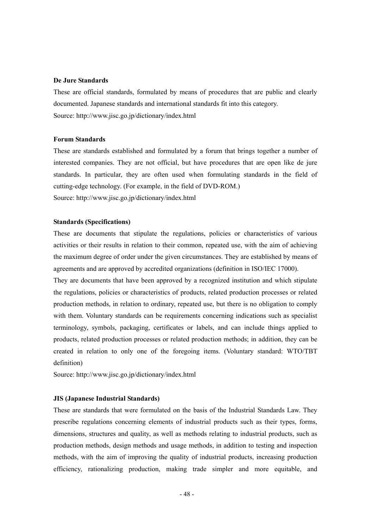#### **De Jure Standards**

These are official standards, formulated by means of procedures that are public and clearly documented. Japanese standards and international standards fit into this category. Source: http://www.jisc.go.jp/dictionary/index.html

#### **Forum Standards**

These are standards established and formulated by a forum that brings together a number of interested companies. They are not official, but have procedures that are open like de jure standards. In particular, they are often used when formulating standards in the field of cutting-edge technology. (For example, in the field of DVD-ROM.) Source: http://www.jisc.go.jp/dictionary/index.html

#### **Standards (Specifications)**

These are documents that stipulate the regulations, policies or characteristics of various activities or their results in relation to their common, repeated use, with the aim of achieving the maximum degree of order under the given circumstances. They are established by means of agreements and are approved by accredited organizations (definition in ISO/IEC 17000).

They are documents that have been approved by a recognized institution and which stipulate the regulations, policies or characteristics of products, related production processes or related production methods, in relation to ordinary, repeated use, but there is no obligation to comply with them. Voluntary standards can be requirements concerning indications such as specialist terminology, symbols, packaging, certificates or labels, and can include things applied to products, related production processes or related production methods; in addition, they can be created in relation to only one of the foregoing items. (Voluntary standard: WTO/TBT definition)

Source: http://www.jisc.go.jp/dictionary/index.html

#### **JIS (Japanese Industrial Standards)**

These are standards that were formulated on the basis of the Industrial Standards Law. They prescribe regulations concerning elements of industrial products such as their types, forms, dimensions, structures and quality, as well as methods relating to industrial products, such as production methods, design methods and usage methods, in addition to testing and inspection methods, with the aim of improving the quality of industrial products, increasing production efficiency, rationalizing production, making trade simpler and more equitable, and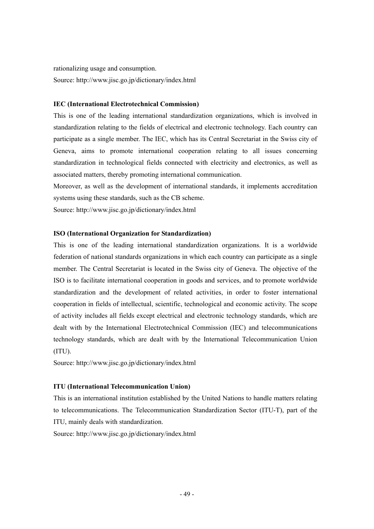rationalizing usage and consumption.

Source: http://www.jisc.go.jp/dictionary/index.html

#### **IEC (International Electrotechnical Commission)**

This is one of the leading international standardization organizations, which is involved in standardization relating to the fields of electrical and electronic technology. Each country can participate as a single member. The IEC, which has its Central Secretariat in the Swiss city of Geneva, aims to promote international cooperation relating to all issues concerning standardization in technological fields connected with electricity and electronics, as well as associated matters, thereby promoting international communication.

Moreover, as well as the development of international standards, it implements accreditation systems using these standards, such as the CB scheme.

Source: http://www.jisc.go.jp/dictionary/index.html

#### **ISO (International Organization for Standardization)**

This is one of the leading international standardization organizations. It is a worldwide federation of national standards organizations in which each country can participate as a single member. The Central Secretariat is located in the Swiss city of Geneva. The objective of the ISO is to facilitate international cooperation in goods and services, and to promote worldwide standardization and the development of related activities, in order to foster international cooperation in fields of intellectual, scientific, technological and economic activity. The scope of activity includes all fields except electrical and electronic technology standards, which are dealt with by the International Electrotechnical Commission (IEC) and telecommunications technology standards, which are dealt with by the International Telecommunication Union (ITU).

Source: http://www.jisc.go.jp/dictionary/index.html

#### **ITU (International Telecommunication Union)**

This is an international institution established by the United Nations to handle matters relating to telecommunications. The Telecommunication Standardization Sector (ITU-T), part of the ITU, mainly deals with standardization.

Source: http://www.jisc.go.jp/dictionary/index.html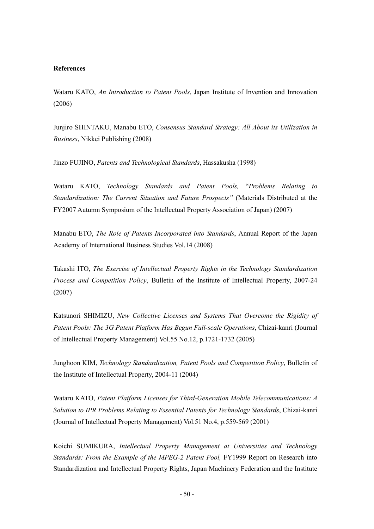#### **References**

Wataru KATO, *An Introduction to Patent Pools*, Japan Institute of Invention and Innovation (2006)

Junjiro SHINTAKU, Manabu ETO, *Consensus Standard Strategy: All About its Utilization in Business*, Nikkei Publishing (2008)

Jinzo FUJINO, *Patents and Technological Standards*, Hassakusha (1998)

Wataru KATO, *Technology Standards and Patent Pools,* "*Problems Relating to Standardization: The Current Situation and Future Prospects"* (Materials Distributed at the FY2007 Autumn Symposium of the Intellectual Property Association of Japan) (2007)

Manabu ETO, *The Role of Patents Incorporated into Standards*, Annual Report of the Japan Academy of International Business Studies Vol.14 (2008)

Takashi ITO, *The Exercise of Intellectual Property Rights in the Technology Standardization Process and Competition Policy*, Bulletin of the Institute of Intellectual Property, 2007-24 (2007)

Katsunori SHIMIZU, *New Collective Licenses and Systems That Overcome the Rigidity of Patent Pools: The 3G Patent Platform Has Begun Full-scale Operations*, Chizai-kanri (Journal of Intellectual Property Management) Vol.55 No.12, p.1721-1732 (2005)

Junghoon KIM, *Technology Standardization, Patent Pools and Competition Policy*, Bulletin of the Institute of Intellectual Property, 2004-11 (2004)

Wataru KATO, *Patent Platform Licenses for Third-Generation Mobile Telecommunications: A Solution to IPR Problems Relating to Essential Patents for Technology Standards*, Chizai-kanri (Journal of Intellectual Property Management) Vol.51 No.4, p.559-569 (2001)

Koichi SUMIKURA, *Intellectual Property Management at Universities and Technology Standards: From the Example of the MPEG-2 Patent Pool,* FY1999 Report on Research into Standardization and Intellectual Property Rights, Japan Machinery Federation and the Institute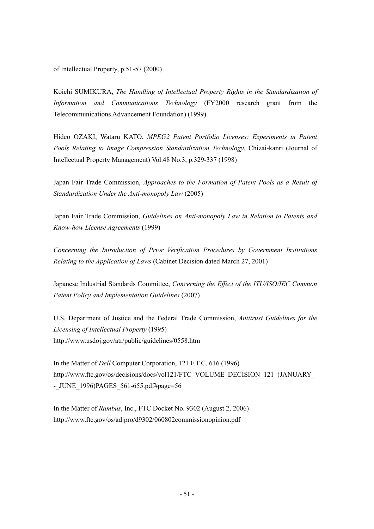of Intellectual Property, p.51-57 (2000)

Koichi SUMIKURA, *The Handling of Intellectual Property Rights in the Standardization of Information and Communications Technology* (FY2000 research grant from the Telecommunications Advancement Foundation) (1999)

Hideo OZAKI, Wataru KATO, *MPEG2 Patent Portfolio Licenses: Experiments in Patent Pools Relating to Image Compression Standardization Technology*, Chizai-kanri (Journal of Intellectual Property Management) Vol.48 No.3, p.329-337 (1998)

Japan Fair Trade Commission, *Approaches to the Formation of Patent Pools as a Result of Standardization Under the Anti-monopoly Law* (2005)

Japan Fair Trade Commission, *Guidelines on Anti-monopoly Law in Relation to Patents and Know-how License Agreements* (1999)

*Concerning the Introduction of Prior Verification Procedures by Government Institutions Relating to the Application of Laws* (Cabinet Decision dated March 27, 2001)

Japanese Industrial Standards Committee, *Concerning the Effect of the ITU/ISO/IEC Common Patent Policy and Implementation Guidelines* (2007)

U.S. Department of Justice and the Federal Trade Commission, *Antitrust Guidelines for the Licensing of Intellectual Property* (1995) http://www.usdoj.gov/atr/public/guidelines/0558.htm

In the Matter of *Dell* Computer Corporation, 121 F.T.C. 616 (1996) http://www.ftc.gov/os/decisions/docs/vol121/FTC\_VOLUME\_DECISION\_121\_(JANUARY\_ - JUNE 1996)PAGES 561-655.pdf#page=56

In the Matter of *Rambus*, Inc., FTC Docket No. 9302 (August 2, 2006) http://www.ftc.gov/os/adjpro/d9302/060802commissionopinion.pdf